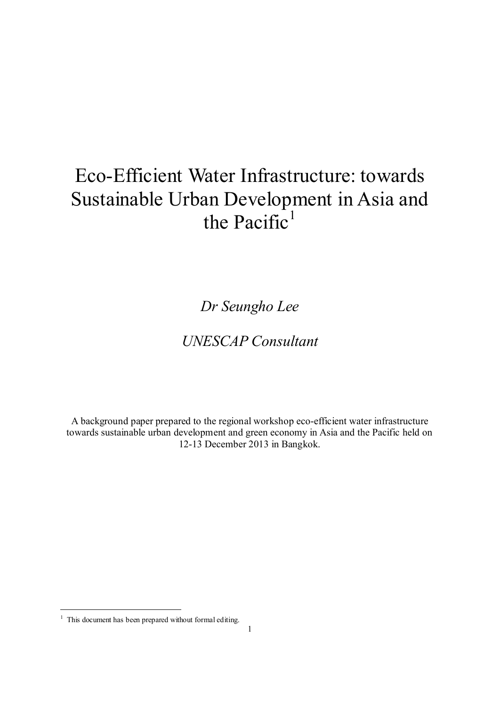## Eco-Efficient Water Infrastructure: towards Sustainable Urban Development in Asia and the Pacific $<sup>1</sup>$ </sup>

*Dr Seungho Lee* 

## *UNESCAP Consultant*

A background paper prepared to the regional workshop eco-efficient water infrastructure towards sustainable urban development and green economy in Asia and the Pacific held on 12-13 December 2013 in Bangkok.

-

<sup>&</sup>lt;sup>1</sup> This document has been prepared without formal editing.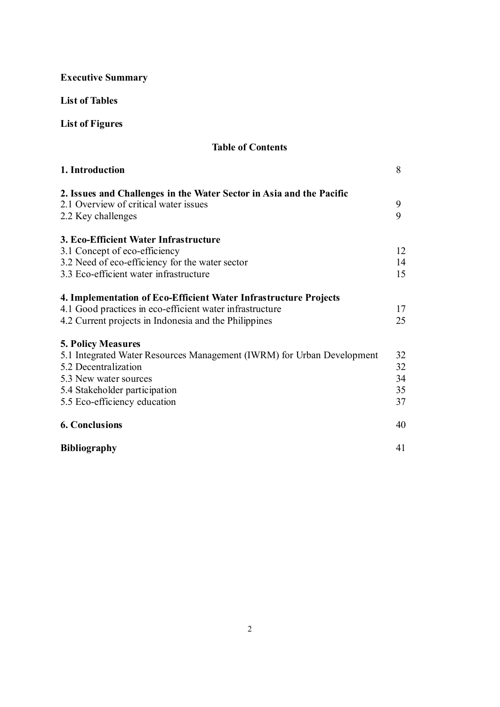## Executive Summary

#### List of Tables

## List of Figures

## Table of Contents

| 1. Introduction                                                        | 8  |
|------------------------------------------------------------------------|----|
| 2. Issues and Challenges in the Water Sector in Asia and the Pacific   |    |
| 2.1 Overview of critical water issues                                  | 9  |
| 2.2 Key challenges                                                     | 9  |
| 3. Eco-Efficient Water Infrastructure                                  |    |
| 3.1 Concept of eco-efficiency                                          | 12 |
| 3.2 Need of eco-efficiency for the water sector                        | 14 |
| 3.3 Eco-efficient water infrastructure                                 | 15 |
| 4. Implementation of Eco-Efficient Water Infrastructure Projects       |    |
| 4.1 Good practices in eco-efficient water infrastructure               | 17 |
| 4.2 Current projects in Indonesia and the Philippines                  | 25 |
| <b>5. Policy Measures</b>                                              |    |
| 5.1 Integrated Water Resources Management (IWRM) for Urban Development | 32 |
| 5.2 Decentralization                                                   | 32 |
| 5.3 New water sources                                                  | 34 |
| 5.4 Stakeholder participation                                          | 35 |
| 5.5 Eco-efficiency education                                           | 37 |
| <b>6. Conclusions</b>                                                  | 40 |
| <b>Bibliography</b>                                                    | 41 |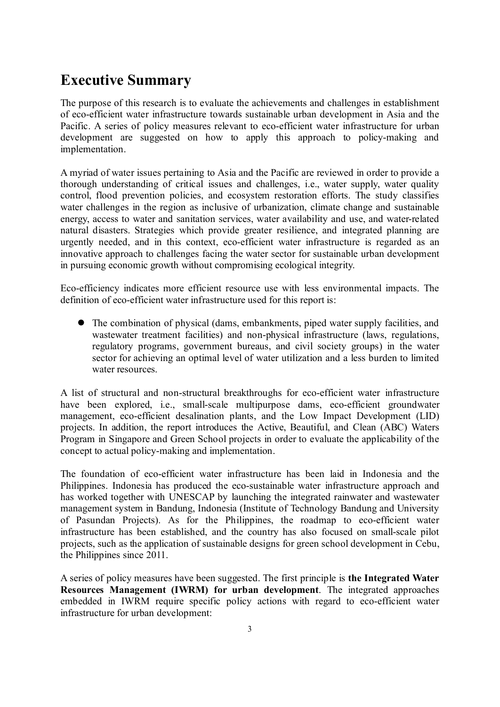## Executive Summary

The purpose of this research is to evaluate the achievements and challenges in establishment of eco-efficient water infrastructure towards sustainable urban development in Asia and the Pacific. A series of policy measures relevant to eco-efficient water infrastructure for urban development are suggested on how to apply this approach to policy-making and implementation.

A myriad of water issues pertaining to Asia and the Pacific are reviewed in order to provide a thorough understanding of critical issues and challenges, i.e., water supply, water quality control, flood prevention policies, and ecosystem restoration efforts. The study classifies water challenges in the region as inclusive of urbanization, climate change and sustainable energy, access to water and sanitation services, water availability and use, and water-related natural disasters. Strategies which provide greater resilience, and integrated planning are urgently needed, and in this context, eco-efficient water infrastructure is regarded as an innovative approach to challenges facing the water sector for sustainable urban development in pursuing economic growth without compromising ecological integrity.

Eco-efficiency indicates more efficient resource use with less environmental impacts. The definition of eco-efficient water infrastructure used for this report is:

 The combination of physical (dams, embankments, piped water supply facilities, and wastewater treatment facilities) and non-physical infrastructure (laws, regulations, regulatory programs, government bureaus, and civil society groups) in the water sector for achieving an optimal level of water utilization and a less burden to limited water resources.

A list of structural and non-structural breakthroughs for eco-efficient water infrastructure have been explored, i.e., small-scale multipurpose dams, eco-efficient groundwater management, eco-efficient desalination plants, and the Low Impact Development (LID) projects. In addition, the report introduces the Active, Beautiful, and Clean (ABC) Waters Program in Singapore and Green School projects in order to evaluate the applicability of the concept to actual policy-making and implementation.

The foundation of eco-efficient water infrastructure has been laid in Indonesia and the Philippines. Indonesia has produced the eco-sustainable water infrastructure approach and has worked together with UNESCAP by launching the integrated rainwater and wastewater management system in Bandung, Indonesia (Institute of Technology Bandung and University of Pasundan Projects). As for the Philippines, the roadmap to eco-efficient water infrastructure has been established, and the country has also focused on small-scale pilot projects, such as the application of sustainable designs for green school development in Cebu, the Philippines since 2011.

A series of policy measures have been suggested. The first principle is the Integrated Water Resources Management (IWRM) for urban development. The integrated approaches embedded in IWRM require specific policy actions with regard to eco-efficient water infrastructure for urban development: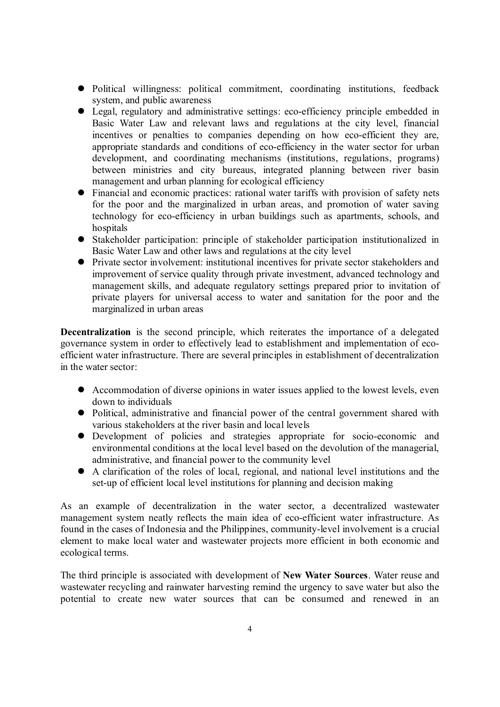- Political willingness: political commitment, coordinating institutions, feedback system, and public awareness
- Legal, regulatory and administrative settings: eco-efficiency principle embedded in Basic Water Law and relevant laws and regulations at the city level, financial incentives or penalties to companies depending on how eco-efficient they are, appropriate standards and conditions of eco-efficiency in the water sector for urban development, and coordinating mechanisms (institutions, regulations, programs) between ministries and city bureaus, integrated planning between river basin management and urban planning for ecological efficiency
- Financial and economic practices: rational water tariffs with provision of safety nets for the poor and the marginalized in urban areas, and promotion of water saving technology for eco-efficiency in urban buildings such as apartments, schools, and hospitals
- Stakeholder participation: principle of stakeholder participation institutionalized in Basic Water Law and other laws and regulations at the city level
- Private sector involvement: institutional incentives for private sector stakeholders and improvement of service quality through private investment, advanced technology and management skills, and adequate regulatory settings prepared prior to invitation of private players for universal access to water and sanitation for the poor and the marginalized in urban areas

Decentralization is the second principle, which reiterates the importance of a delegated governance system in order to effectively lead to establishment and implementation of ecoefficient water infrastructure. There are several principles in establishment of decentralization in the water sector:

- Accommodation of diverse opinions in water issues applied to the lowest levels, even down to individuals
- Political, administrative and financial power of the central government shared with various stakeholders at the river basin and local levels
- Development of policies and strategies appropriate for socio-economic and environmental conditions at the local level based on the devolution of the managerial, administrative, and financial power to the community level
- A clarification of the roles of local, regional, and national level institutions and the set-up of efficient local level institutions for planning and decision making

As an example of decentralization in the water sector, a decentralized wastewater management system neatly reflects the main idea of eco-efficient water infrastructure. As found in the cases of Indonesia and the Philippines, community-level involvement is a crucial element to make local water and wastewater projects more efficient in both economic and ecological terms.

The third principle is associated with development of New Water Sources. Water reuse and wastewater recycling and rainwater harvesting remind the urgency to save water but also the potential to create new water sources that can be consumed and renewed in an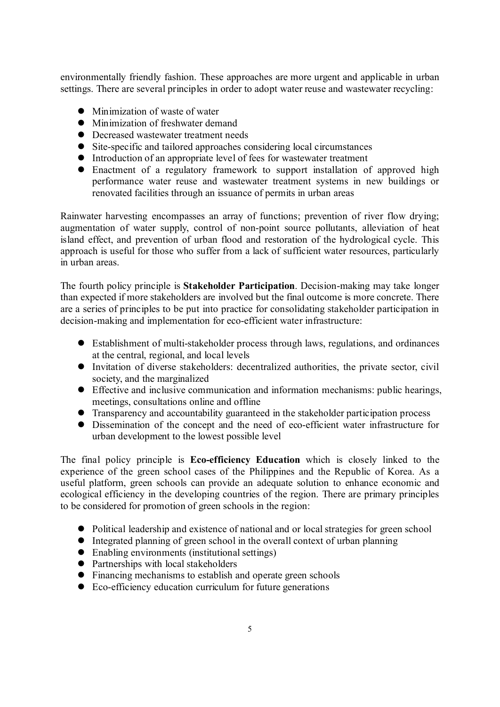environmentally friendly fashion. These approaches are more urgent and applicable in urban settings. There are several principles in order to adopt water reuse and wastewater recycling:

- Minimization of waste of water
- Minimization of freshwater demand
- Decreased wastewater treatment needs
- Site-specific and tailored approaches considering local circumstances
- Introduction of an appropriate level of fees for wastewater treatment
- Enactment of a regulatory framework to support installation of approved high performance water reuse and wastewater treatment systems in new buildings or renovated facilities through an issuance of permits in urban areas

Rainwater harvesting encompasses an array of functions; prevention of river flow drying; augmentation of water supply, control of non-point source pollutants, alleviation of heat island effect, and prevention of urban flood and restoration of the hydrological cycle. This approach is useful for those who suffer from a lack of sufficient water resources, particularly in urban areas.

The fourth policy principle is Stakeholder Participation. Decision-making may take longer than expected if more stakeholders are involved but the final outcome is more concrete. There are a series of principles to be put into practice for consolidating stakeholder participation in decision-making and implementation for eco-efficient water infrastructure:

- Establishment of multi-stakeholder process through laws, regulations, and ordinances at the central, regional, and local levels
- Invitation of diverse stakeholders: decentralized authorities, the private sector, civil society, and the marginalized
- Effective and inclusive communication and information mechanisms: public hearings, meetings, consultations online and offline
- Transparency and accountability guaranteed in the stakeholder participation process
- Dissemination of the concept and the need of eco-efficient water infrastructure for urban development to the lowest possible level

The final policy principle is Eco-efficiency Education which is closely linked to the experience of the green school cases of the Philippines and the Republic of Korea. As a useful platform, green schools can provide an adequate solution to enhance economic and ecological efficiency in the developing countries of the region. There are primary principles to be considered for promotion of green schools in the region:

- Political leadership and existence of national and or local strategies for green school
- Integrated planning of green school in the overall context of urban planning
- Enabling environments (institutional settings)
- Partnerships with local stakeholders
- Financing mechanisms to establish and operate green schools
- Eco-efficiency education curriculum for future generations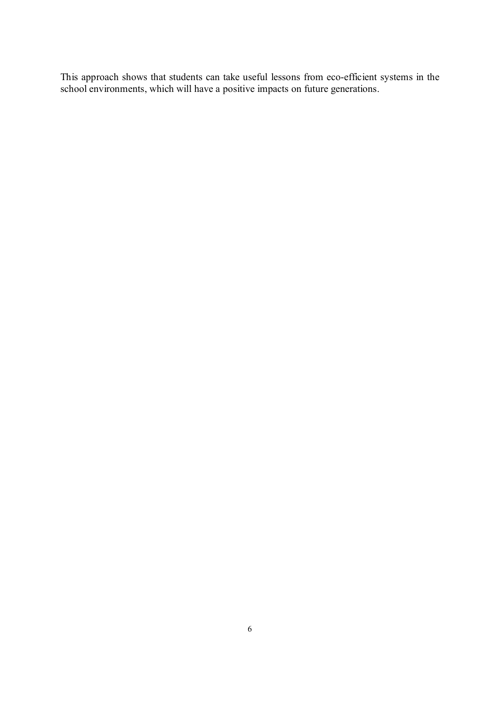This approach shows that students can take useful lessons from eco-efficient systems in the school environments, which will have a positive impacts on future generations.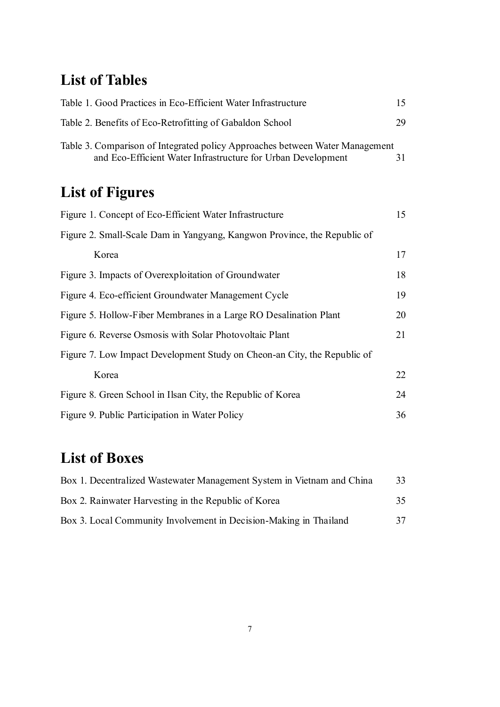## List of Tables

| Table 1. Good Practices in Eco-Efficient Water Infrastructure                                                                                | 15 |
|----------------------------------------------------------------------------------------------------------------------------------------------|----|
| Table 2. Benefits of Eco-Retrofitting of Gabaldon School                                                                                     | 29 |
| Table 3. Comparison of Integrated policy Approaches between Water Management<br>and Eco-Efficient Water Infrastructure for Urban Development | 31 |
| <b>List of Figures</b>                                                                                                                       |    |
| Figure 1. Concept of Eco-Efficient Water Infrastructure                                                                                      | 15 |
| Figure 2. Small-Scale Dam in Yangyang, Kangwon Province, the Republic of                                                                     |    |
| Korea                                                                                                                                        | 17 |
| Figure 3. Impacts of Overexploitation of Groundwater                                                                                         | 18 |
| Figure 4. Eco-efficient Groundwater Management Cycle                                                                                         | 19 |
|                                                                                                                                              |    |

# Figure 5. Hollow-Fiber Membranes in a Large RO Desalination Plant 20 Figure 6. Reverse Osmosis with Solar Photovoltaic Plant 21 Figure 7. Low Impact Development Study on Cheon-an City, the Republic of Korea 22 Figure 8. Green School in Ilsan City, the Republic of Korea 24 Figure 9. Public Participation in Water Policy 36

## List of Boxes

| Box 1. Decentralized Wastewater Management System in Vietnam and China | 33 |
|------------------------------------------------------------------------|----|
| Box 2. Rainwater Harvesting in the Republic of Korea                   | 35 |
| Box 3. Local Community Involvement in Decision-Making in Thailand      | 37 |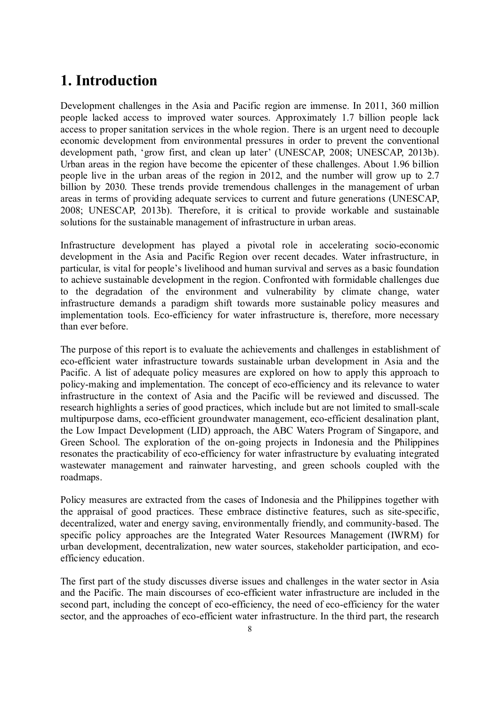## 1. Introduction

Development challenges in the Asia and Pacific region are immense. In 2011, 360 million people lacked access to improved water sources. Approximately 1.7 billion people lack access to proper sanitation services in the whole region. There is an urgent need to decouple economic development from environmental pressures in order to prevent the conventional development path, 'grow first, and clean up later' (UNESCAP, 2008; UNESCAP, 2013b). Urban areas in the region have become the epicenter of these challenges. About 1.96 billion people live in the urban areas of the region in 2012, and the number will grow up to 2.7 billion by 2030. These trends provide tremendous challenges in the management of urban areas in terms of providing adequate services to current and future generations (UNESCAP, 2008; UNESCAP, 2013b). Therefore, it is critical to provide workable and sustainable solutions for the sustainable management of infrastructure in urban areas.

Infrastructure development has played a pivotal role in accelerating socio-economic development in the Asia and Pacific Region over recent decades. Water infrastructure, in particular, is vital for people's livelihood and human survival and serves as a basic foundation to achieve sustainable development in the region. Confronted with formidable challenges due to the degradation of the environment and vulnerability by climate change, water infrastructure demands a paradigm shift towards more sustainable policy measures and implementation tools. Eco-efficiency for water infrastructure is, therefore, more necessary than ever before.

The purpose of this report is to evaluate the achievements and challenges in establishment of eco-efficient water infrastructure towards sustainable urban development in Asia and the Pacific. A list of adequate policy measures are explored on how to apply this approach to policy-making and implementation. The concept of eco-efficiency and its relevance to water infrastructure in the context of Asia and the Pacific will be reviewed and discussed. The research highlights a series of good practices, which include but are not limited to small-scale multipurpose dams, eco-efficient groundwater management, eco-efficient desalination plant, the Low Impact Development (LID) approach, the ABC Waters Program of Singapore, and Green School. The exploration of the on-going projects in Indonesia and the Philippines resonates the practicability of eco-efficiency for water infrastructure by evaluating integrated wastewater management and rainwater harvesting, and green schools coupled with the roadmaps.

Policy measures are extracted from the cases of Indonesia and the Philippines together with the appraisal of good practices. These embrace distinctive features, such as site-specific, decentralized, water and energy saving, environmentally friendly, and community-based. The specific policy approaches are the Integrated Water Resources Management (IWRM) for urban development, decentralization, new water sources, stakeholder participation, and ecoefficiency education.

The first part of the study discusses diverse issues and challenges in the water sector in Asia and the Pacific. The main discourses of eco-efficient water infrastructure are included in the second part, including the concept of eco-efficiency, the need of eco-efficiency for the water sector, and the approaches of eco-efficient water infrastructure. In the third part, the research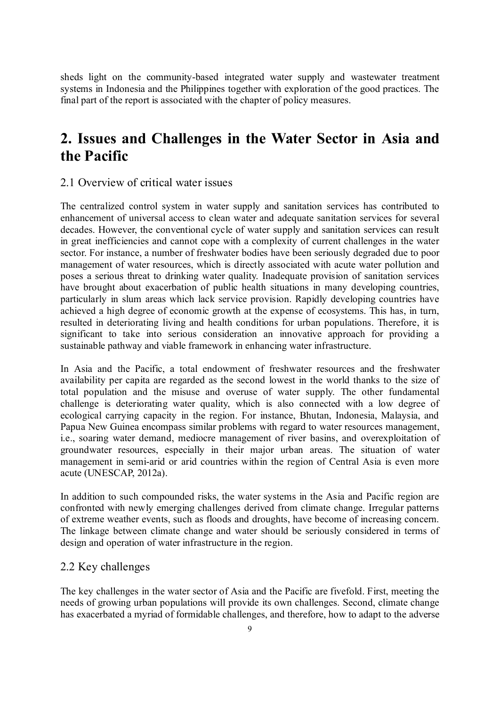sheds light on the community-based integrated water supply and wastewater treatment systems in Indonesia and the Philippines together with exploration of the good practices. The final part of the report is associated with the chapter of policy measures.

## 2. Issues and Challenges in the Water Sector in Asia and the Pacific

#### 2.1 Overview of critical water issues

The centralized control system in water supply and sanitation services has contributed to enhancement of universal access to clean water and adequate sanitation services for several decades. However, the conventional cycle of water supply and sanitation services can result in great inefficiencies and cannot cope with a complexity of current challenges in the water sector. For instance, a number of freshwater bodies have been seriously degraded due to poor management of water resources, which is directly associated with acute water pollution and poses a serious threat to drinking water quality. Inadequate provision of sanitation services have brought about exacerbation of public health situations in many developing countries, particularly in slum areas which lack service provision. Rapidly developing countries have achieved a high degree of economic growth at the expense of ecosystems. This has, in turn, resulted in deteriorating living and health conditions for urban populations. Therefore, it is significant to take into serious consideration an innovative approach for providing a sustainable pathway and viable framework in enhancing water infrastructure.

In Asia and the Pacific, a total endowment of freshwater resources and the freshwater availability per capita are regarded as the second lowest in the world thanks to the size of total population and the misuse and overuse of water supply. The other fundamental challenge is deteriorating water quality, which is also connected with a low degree of ecological carrying capacity in the region. For instance, Bhutan, Indonesia, Malaysia, and Papua New Guinea encompass similar problems with regard to water resources management, i.e., soaring water demand, mediocre management of river basins, and overexploitation of groundwater resources, especially in their major urban areas. The situation of water management in semi-arid or arid countries within the region of Central Asia is even more acute (UNESCAP, 2012a).

In addition to such compounded risks, the water systems in the Asia and Pacific region are confronted with newly emerging challenges derived from climate change. Irregular patterns of extreme weather events, such as floods and droughts, have become of increasing concern. The linkage between climate change and water should be seriously considered in terms of design and operation of water infrastructure in the region.

#### 2.2 Key challenges

The key challenges in the water sector of Asia and the Pacific are fivefold. First, meeting the needs of growing urban populations will provide its own challenges. Second, climate change has exacerbated a myriad of formidable challenges, and therefore, how to adapt to the adverse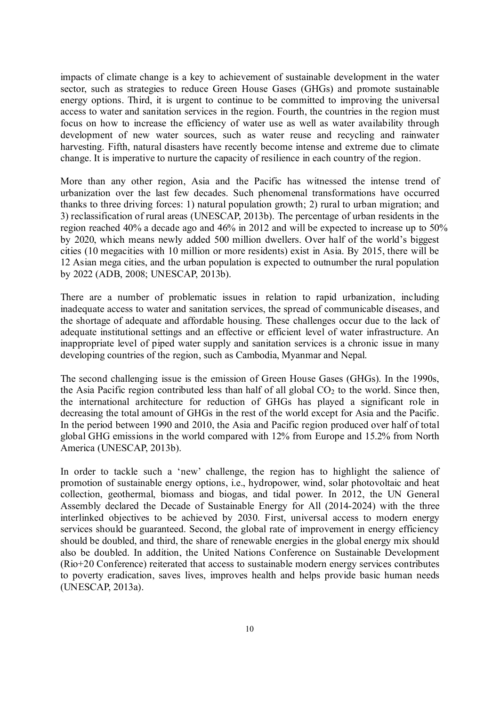impacts of climate change is a key to achievement of sustainable development in the water sector, such as strategies to reduce Green House Gases (GHGs) and promote sustainable energy options. Third, it is urgent to continue to be committed to improving the universal access to water and sanitation services in the region. Fourth, the countries in the region must focus on how to increase the efficiency of water use as well as water availability through development of new water sources, such as water reuse and recycling and rainwater harvesting. Fifth, natural disasters have recently become intense and extreme due to climate change. It is imperative to nurture the capacity of resilience in each country of the region.

More than any other region, Asia and the Pacific has witnessed the intense trend of urbanization over the last few decades. Such phenomenal transformations have occurred thanks to three driving forces: 1) natural population growth; 2) rural to urban migration; and 3) reclassification of rural areas (UNESCAP, 2013b). The percentage of urban residents in the region reached 40% a decade ago and 46% in 2012 and will be expected to increase up to 50% by 2020, which means newly added 500 million dwellers. Over half of the world's biggest cities (10 megacities with 10 million or more residents) exist in Asia. By 2015, there will be 12 Asian mega cities, and the urban population is expected to outnumber the rural population by 2022 (ADB, 2008; UNESCAP, 2013b).

There are a number of problematic issues in relation to rapid urbanization, including inadequate access to water and sanitation services, the spread of communicable diseases, and the shortage of adequate and affordable housing. These challenges occur due to the lack of adequate institutional settings and an effective or efficient level of water infrastructure. An inappropriate level of piped water supply and sanitation services is a chronic issue in many developing countries of the region, such as Cambodia, Myanmar and Nepal.

The second challenging issue is the emission of Green House Gases (GHGs). In the 1990s, the Asia Pacific region contributed less than half of all global  $CO<sub>2</sub>$  to the world. Since then, the international architecture for reduction of GHGs has played a significant role in decreasing the total amount of GHGs in the rest of the world except for Asia and the Pacific. In the period between 1990 and 2010, the Asia and Pacific region produced over half of total global GHG emissions in the world compared with 12% from Europe and 15.2% from North America (UNESCAP, 2013b).

In order to tackle such a 'new' challenge, the region has to highlight the salience of promotion of sustainable energy options, i.e., hydropower, wind, solar photovoltaic and heat collection, geothermal, biomass and biogas, and tidal power. In 2012, the UN General Assembly declared the Decade of Sustainable Energy for All (2014-2024) with the three interlinked objectives to be achieved by 2030. First, universal access to modern energy services should be guaranteed. Second, the global rate of improvement in energy efficiency should be doubled, and third, the share of renewable energies in the global energy mix should also be doubled. In addition, the United Nations Conference on Sustainable Development (Rio+20 Conference) reiterated that access to sustainable modern energy services contributes to poverty eradication, saves lives, improves health and helps provide basic human needs (UNESCAP, 2013a).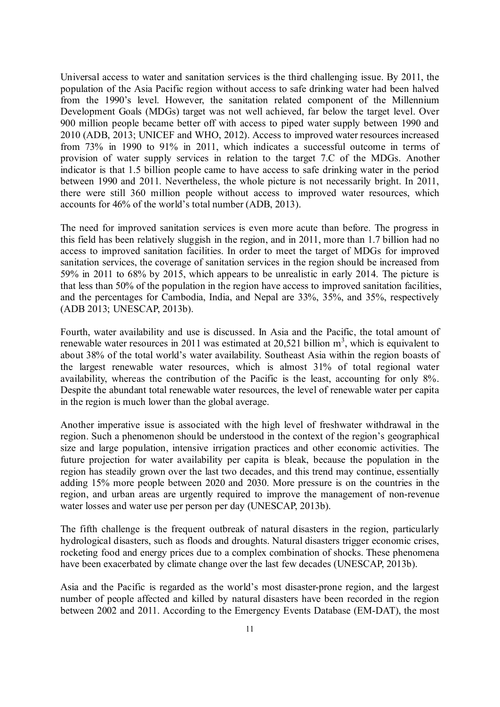Universal access to water and sanitation services is the third challenging issue. By 2011, the population of the Asia Pacific region without access to safe drinking water had been halved from the 1990's level. However, the sanitation related component of the Millennium Development Goals (MDGs) target was not well achieved, far below the target level. Over 900 million people became better off with access to piped water supply between 1990 and 2010 (ADB, 2013; UNICEF and WHO, 2012). Access to improved water resources increased from 73% in 1990 to 91% in 2011, which indicates a successful outcome in terms of provision of water supply services in relation to the target 7.C of the MDGs. Another indicator is that 1.5 billion people came to have access to safe drinking water in the period between 1990 and 2011. Nevertheless, the whole picture is not necessarily bright. In 2011, there were still 360 million people without access to improved water resources, which accounts for 46% of the world's total number (ADB, 2013).

The need for improved sanitation services is even more acute than before. The progress in this field has been relatively sluggish in the region, and in 2011, more than 1.7 billion had no access to improved sanitation facilities. In order to meet the target of MDGs for improved sanitation services, the coverage of sanitation services in the region should be increased from 59% in 2011 to 68% by 2015, which appears to be unrealistic in early 2014. The picture is that less than 50% of the population in the region have access to improved sanitation facilities, and the percentages for Cambodia, India, and Nepal are 33%, 35%, and 35%, respectively (ADB 2013; UNESCAP, 2013b).

Fourth, water availability and use is discussed. In Asia and the Pacific, the total amount of renewable water resources in 2011 was estimated at 20,521 billion  $m<sup>3</sup>$ , which is equivalent to about 38% of the total world's water availability. Southeast Asia within the region boasts of the largest renewable water resources, which is almost 31% of total regional water availability, whereas the contribution of the Pacific is the least, accounting for only 8%. Despite the abundant total renewable water resources, the level of renewable water per capita in the region is much lower than the global average.

Another imperative issue is associated with the high level of freshwater withdrawal in the region. Such a phenomenon should be understood in the context of the region's geographical size and large population, intensive irrigation practices and other economic activities. The future projection for water availability per capita is bleak, because the population in the region has steadily grown over the last two decades, and this trend may continue, essentially adding 15% more people between 2020 and 2030. More pressure is on the countries in the region, and urban areas are urgently required to improve the management of non-revenue water losses and water use per person per day (UNESCAP, 2013b).

The fifth challenge is the frequent outbreak of natural disasters in the region, particularly hydrological disasters, such as floods and droughts. Natural disasters trigger economic crises, rocketing food and energy prices due to a complex combination of shocks. These phenomena have been exacerbated by climate change over the last few decades (UNESCAP, 2013b).

Asia and the Pacific is regarded as the world's most disaster-prone region, and the largest number of people affected and killed by natural disasters have been recorded in the region between 2002 and 2011. According to the Emergency Events Database (EM-DAT), the most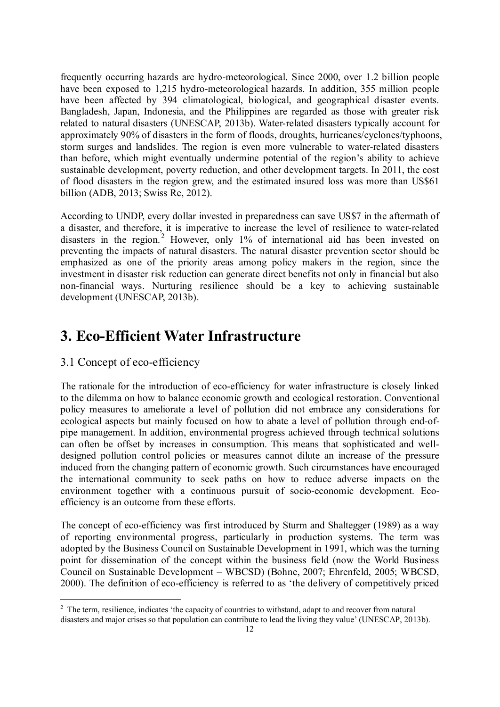frequently occurring hazards are hydro-meteorological. Since 2000, over 1.2 billion people have been exposed to 1,215 hydro-meteorological hazards. In addition, 355 million people have been affected by 394 climatological, biological, and geographical disaster events. Bangladesh, Japan, Indonesia, and the Philippines are regarded as those with greater risk related to natural disasters (UNESCAP, 2013b). Water-related disasters typically account for approximately 90% of disasters in the form of floods, droughts, hurricanes/cyclones/typhoons, storm surges and landslides. The region is even more vulnerable to water-related disasters than before, which might eventually undermine potential of the region's ability to achieve sustainable development, poverty reduction, and other development targets. In 2011, the cost of flood disasters in the region grew, and the estimated insured loss was more than US\$61 billion (ADB, 2013; Swiss Re, 2012).

According to UNDP, every dollar invested in preparedness can save US\$7 in the aftermath of a disaster, and therefore, it is imperative to increase the level of resilience to water-related disasters in the region.<sup>2</sup> However, only  $1\%$  of international aid has been invested on preventing the impacts of natural disasters. The natural disaster prevention sector should be emphasized as one of the priority areas among policy makers in the region, since the investment in disaster risk reduction can generate direct benefits not only in financial but also non-financial ways. Nurturing resilience should be a key to achieving sustainable development (UNESCAP, 2013b).

## 3. Eco-Efficient Water Infrastructure

#### 3.1 Concept of eco-efficiency

-

The rationale for the introduction of eco-efficiency for water infrastructure is closely linked to the dilemma on how to balance economic growth and ecological restoration. Conventional policy measures to ameliorate a level of pollution did not embrace any considerations for ecological aspects but mainly focused on how to abate a level of pollution through end-ofpipe management. In addition, environmental progress achieved through technical solutions can often be offset by increases in consumption. This means that sophisticated and welldesigned pollution control policies or measures cannot dilute an increase of the pressure induced from the changing pattern of economic growth. Such circumstances have encouraged the international community to seek paths on how to reduce adverse impacts on the environment together with a continuous pursuit of socio-economic development. Ecoefficiency is an outcome from these efforts.

The concept of eco-efficiency was first introduced by Sturm and Shaltegger (1989) as a way of reporting environmental progress, particularly in production systems. The term was adopted by the Business Council on Sustainable Development in 1991, which was the turning point for dissemination of the concept within the business field (now the World Business Council on Sustainable Development – WBCSD) (Bohne, 2007; Ehrenfeld, 2005; WBCSD, 2000). The definition of eco-efficiency is referred to as 'the delivery of competitively priced

<sup>&</sup>lt;sup>2</sup> The term, resilience, indicates 'the capacity of countries to withstand, adapt to and recover from natural disasters and major crises so that population can contribute to lead the living they value' (UNESCAP, 2013b).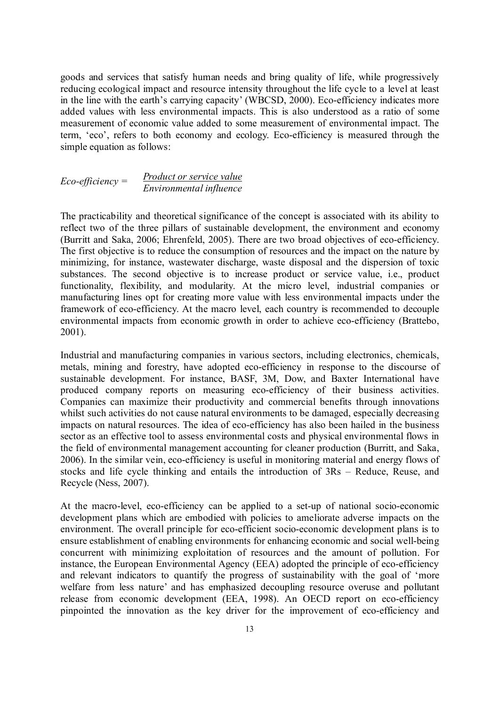goods and services that satisfy human needs and bring quality of life, while progressively reducing ecological impact and resource intensity throughout the life cycle to a level at least in the line with the earth's carrying capacity' (WBCSD, 2000). Eco-efficiency indicates more added values with less environmental impacts. This is also understood as a ratio of some measurement of economic value added to some measurement of environmental impact. The term, 'eco', refers to both economy and ecology. Eco-efficiency is measured through the simple equation as follows:

*Eco-efficiency = Product or service value Environmental influence* 

The practicability and theoretical significance of the concept is associated with its ability to reflect two of the three pillars of sustainable development, the environment and economy (Burritt and Saka, 2006; Ehrenfeld, 2005). There are two broad objectives of eco-efficiency. The first objective is to reduce the consumption of resources and the impact on the nature by minimizing, for instance, wastewater discharge, waste disposal and the dispersion of toxic substances. The second objective is to increase product or service value, i.e., product functionality, flexibility, and modularity. At the micro level, industrial companies or manufacturing lines opt for creating more value with less environmental impacts under the framework of eco-efficiency. At the macro level, each country is recommended to decouple environmental impacts from economic growth in order to achieve eco-efficiency (Brattebo, 2001).

Industrial and manufacturing companies in various sectors, including electronics, chemicals, metals, mining and forestry, have adopted eco-efficiency in response to the discourse of sustainable development. For instance, BASF, 3M, Dow, and Baxter International have produced company reports on measuring eco-efficiency of their business activities. Companies can maximize their productivity and commercial benefits through innovations whilst such activities do not cause natural environments to be damaged, especially decreasing impacts on natural resources. The idea of eco-efficiency has also been hailed in the business sector as an effective tool to assess environmental costs and physical environmental flows in the field of environmental management accounting for cleaner production (Burritt, and Saka, 2006). In the similar vein, eco-efficiency is useful in monitoring material and energy flows of stocks and life cycle thinking and entails the introduction of 3Rs – Reduce, Reuse, and Recycle (Ness, 2007).

At the macro-level, eco-efficiency can be applied to a set-up of national socio-economic development plans which are embodied with policies to ameliorate adverse impacts on the environment. The overall principle for eco-efficient socio-economic development plans is to ensure establishment of enabling environments for enhancing economic and social well-being concurrent with minimizing exploitation of resources and the amount of pollution. For instance, the European Environmental Agency (EEA) adopted the principle of eco-efficiency and relevant indicators to quantify the progress of sustainability with the goal of 'more welfare from less nature' and has emphasized decoupling resource overuse and pollutant release from economic development (EEA, 1998). An OECD report on eco-efficiency pinpointed the innovation as the key driver for the improvement of eco-efficiency and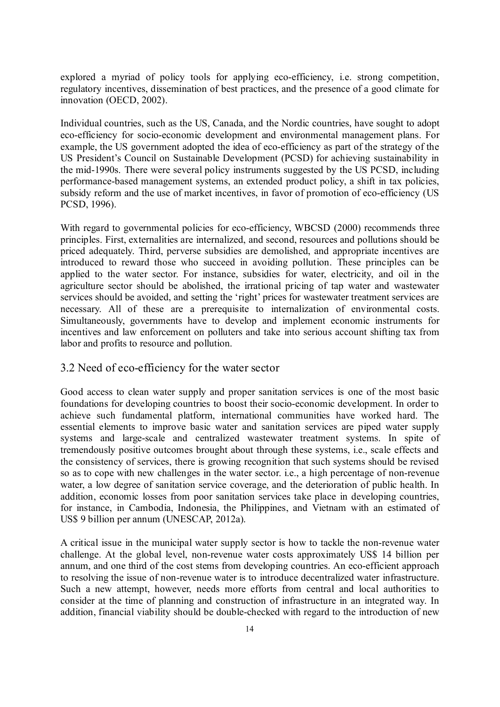explored a myriad of policy tools for applying eco-efficiency, i.e. strong competition, regulatory incentives, dissemination of best practices, and the presence of a good climate for innovation (OECD, 2002).

Individual countries, such as the US, Canada, and the Nordic countries, have sought to adopt eco-efficiency for socio-economic development and environmental management plans. For example, the US government adopted the idea of eco-efficiency as part of the strategy of the US President's Council on Sustainable Development (PCSD) for achieving sustainability in the mid-1990s. There were several policy instruments suggested by the US PCSD, including performance-based management systems, an extended product policy, a shift in tax policies, subsidy reform and the use of market incentives, in favor of promotion of eco-efficiency (US PCSD, 1996).

With regard to governmental policies for eco-efficiency, WBCSD (2000) recommends three principles. First, externalities are internalized, and second, resources and pollutions should be priced adequately. Third, perverse subsidies are demolished, and appropriate incentives are introduced to reward those who succeed in avoiding pollution. These principles can be applied to the water sector. For instance, subsidies for water, electricity, and oil in the agriculture sector should be abolished, the irrational pricing of tap water and wastewater services should be avoided, and setting the 'right' prices for wastewater treatment services are necessary. All of these are a prerequisite to internalization of environmental costs. Simultaneously, governments have to develop and implement economic instruments for incentives and law enforcement on polluters and take into serious account shifting tax from labor and profits to resource and pollution.

#### 3.2 Need of eco-efficiency for the water sector

Good access to clean water supply and proper sanitation services is one of the most basic foundations for developing countries to boost their socio-economic development. In order to achieve such fundamental platform, international communities have worked hard. The essential elements to improve basic water and sanitation services are piped water supply systems and large-scale and centralized wastewater treatment systems. In spite of tremendously positive outcomes brought about through these systems, i.e., scale effects and the consistency of services, there is growing recognition that such systems should be revised so as to cope with new challenges in the water sector. i.e., a high percentage of non-revenue water, a low degree of sanitation service coverage, and the deterioration of public health. In addition, economic losses from poor sanitation services take place in developing countries, for instance, in Cambodia, Indonesia, the Philippines, and Vietnam with an estimated of US\$ 9 billion per annum (UNESCAP, 2012a).

A critical issue in the municipal water supply sector is how to tackle the non-revenue water challenge. At the global level, non-revenue water costs approximately US\$ 14 billion per annum, and one third of the cost stems from developing countries. An eco-efficient approach to resolving the issue of non-revenue water is to introduce decentralized water infrastructure. Such a new attempt, however, needs more efforts from central and local authorities to consider at the time of planning and construction of infrastructure in an integrated way. In addition, financial viability should be double-checked with regard to the introduction of new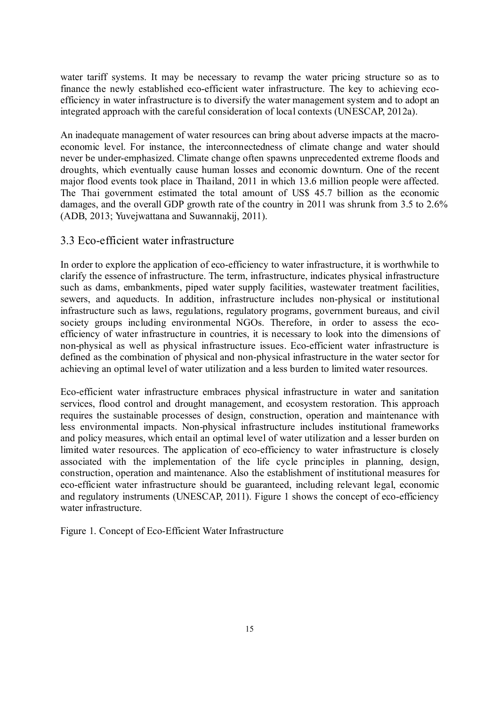water tariff systems. It may be necessary to revamp the water pricing structure so as to finance the newly established eco-efficient water infrastructure. The key to achieving ecoefficiency in water infrastructure is to diversify the water management system and to adopt an integrated approach with the careful consideration of local contexts (UNESCAP, 2012a).

An inadequate management of water resources can bring about adverse impacts at the macroeconomic level. For instance, the interconnectedness of climate change and water should never be under-emphasized. Climate change often spawns unprecedented extreme floods and droughts, which eventually cause human losses and economic downturn. One of the recent major flood events took place in Thailand, 2011 in which 13.6 million people were affected. The Thai government estimated the total amount of US\$ 45.7 billion as the economic damages, and the overall GDP growth rate of the country in 2011 was shrunk from 3.5 to 2.6% (ADB, 2013; Yuvejwattana and Suwannakij, 2011).

#### 3.3 Eco-efficient water infrastructure

In order to explore the application of eco-efficiency to water infrastructure, it is worthwhile to clarify the essence of infrastructure. The term, infrastructure, indicates physical infrastructure such as dams, embankments, piped water supply facilities, wastewater treatment facilities, sewers, and aqueducts. In addition, infrastructure includes non-physical or institutional infrastructure such as laws, regulations, regulatory programs, government bureaus, and civil society groups including environmental NGOs. Therefore, in order to assess the ecoefficiency of water infrastructure in countries, it is necessary to look into the dimensions of non-physical as well as physical infrastructure issues. Eco-efficient water infrastructure is defined as the combination of physical and non-physical infrastructure in the water sector for achieving an optimal level of water utilization and a less burden to limited water resources.

Eco-efficient water infrastructure embraces physical infrastructure in water and sanitation services, flood control and drought management, and ecosystem restoration. This approach requires the sustainable processes of design, construction, operation and maintenance with less environmental impacts. Non-physical infrastructure includes institutional frameworks and policy measures, which entail an optimal level of water utilization and a lesser burden on limited water resources. The application of eco-efficiency to water infrastructure is closely associated with the implementation of the life cycle principles in planning, design, construction, operation and maintenance. Also the establishment of institutional measures for eco-efficient water infrastructure should be guaranteed, including relevant legal, economic and regulatory instruments (UNESCAP, 2011). Figure 1 shows the concept of eco-efficiency water infrastructure.

Figure 1. Concept of Eco-Efficient Water Infrastructure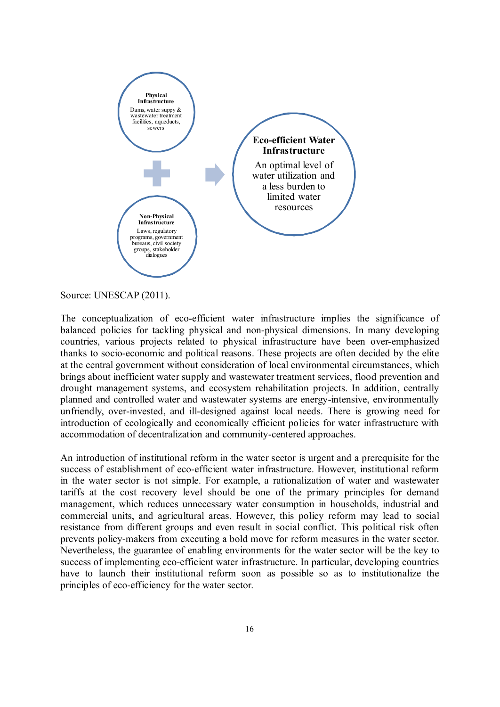

Source: UNESCAP (2011).

The conceptualization of eco-efficient water infrastructure implies the significance of balanced policies for tackling physical and non-physical dimensions. In many developing countries, various projects related to physical infrastructure have been over-emphasized thanks to socio-economic and political reasons. These projects are often decided by the elite at the central government without consideration of local environmental circumstances, which brings about inefficient water supply and wastewater treatment services, flood prevention and drought management systems, and ecosystem rehabilitation projects. In addition, centrally planned and controlled water and wastewater systems are energy-intensive, environmentally unfriendly, over-invested, and ill-designed against local needs. There is growing need for introduction of ecologically and economically efficient policies for water infrastructure with accommodation of decentralization and community-centered approaches.

An introduction of institutional reform in the water sector is urgent and a prerequisite for the success of establishment of eco-efficient water infrastructure. However, institutional reform in the water sector is not simple. For example, a rationalization of water and wastewater tariffs at the cost recovery level should be one of the primary principles for demand management, which reduces unnecessary water consumption in households, industrial and commercial units, and agricultural areas. However, this policy reform may lead to social resistance from different groups and even result in social conflict. This political risk often prevents policy-makers from executing a bold move for reform measures in the water sector. Nevertheless, the guarantee of enabling environments for the water sector will be the key to success of implementing eco-efficient water infrastructure. In particular, developing countries have to launch their institutional reform soon as possible so as to institutionalize the principles of eco-efficiency for the water sector.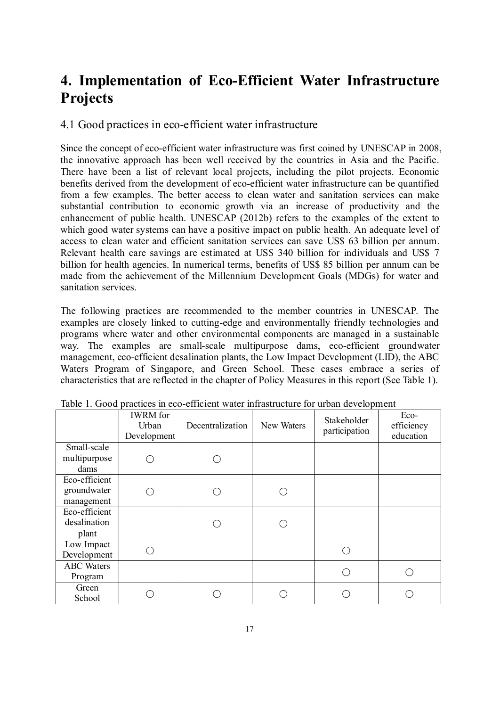## 4. Implementation of Eco-Efficient Water Infrastructure Projects

#### 4.1 Good practices in eco-efficient water infrastructure

Since the concept of eco-efficient water infrastructure was first coined by UNESCAP in 2008, the innovative approach has been well received by the countries in Asia and the Pacific. There have been a list of relevant local projects, including the pilot projects. Economic benefits derived from the development of eco-efficient water infrastructure can be quantified from a few examples. The better access to clean water and sanitation services can make substantial contribution to economic growth via an increase of productivity and the enhancement of public health. UNESCAP (2012b) refers to the examples of the extent to which good water systems can have a positive impact on public health. An adequate level of access to clean water and efficient sanitation services can save US\$ 63 billion per annum. Relevant health care savings are estimated at US\$ 340 billion for individuals and US\$ 7 billion for health agencies. In numerical terms, benefits of US\$ 85 billion per annum can be made from the achievement of the Millennium Development Goals (MDGs) for water and sanitation services.

The following practices are recommended to the member countries in UNESCAP. The examples are closely linked to cutting-edge and environmentally friendly technologies and programs where water and other environmental components are managed in a sustainable way. The examples are small-scale multipurpose dams, eco-efficient groundwater management, eco-efficient desalination plants, the Low Impact Development (LID), the ABC Waters Program of Singapore, and Green School. These cases embrace a series of characteristics that are reflected in the chapter of Policy Measures in this report (See Table 1).

|                                            | <b>IWRM</b> for<br>Urban<br>Development | Decentralization | New Waters | Stakeholder<br>participation | Eco-<br>efficiency<br>education |
|--------------------------------------------|-----------------------------------------|------------------|------------|------------------------------|---------------------------------|
| Small-scale<br>multipurpose<br>dams        |                                         |                  |            |                              |                                 |
| Eco-efficient<br>groundwater<br>management |                                         |                  |            |                              |                                 |
| Eco-efficient<br>desalination<br>plant     |                                         |                  |            |                              |                                 |
| Low Impact<br>Development                  |                                         |                  |            | .                            |                                 |
| <b>ABC</b> Waters<br>Program               |                                         |                  |            |                              |                                 |
| Green<br>School                            |                                         |                  |            |                              |                                 |

Table 1. Good practices in eco-efficient water infrastructure for urban development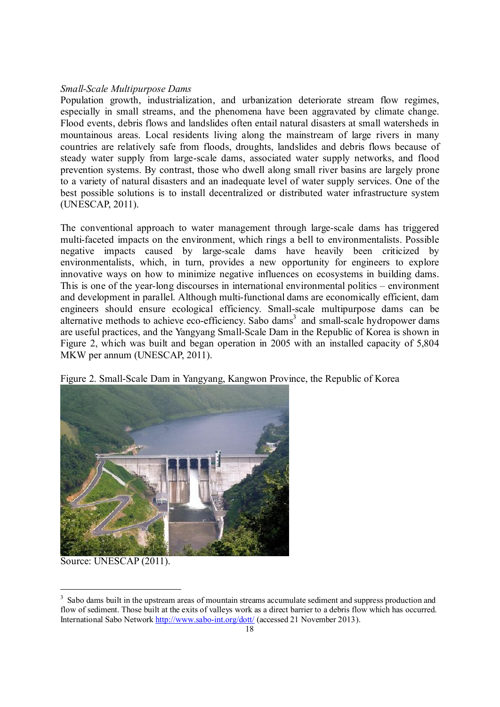#### *Small-Scale Multipurpose Dams*

Population growth, industrialization, and urbanization deteriorate stream flow regimes, especially in small streams, and the phenomena have been aggravated by climate change. Flood events, debris flows and landslides often entail natural disasters at small watersheds in mountainous areas. Local residents living along the mainstream of large rivers in many countries are relatively safe from floods, droughts, landslides and debris flows because of steady water supply from large-scale dams, associated water supply networks, and flood prevention systems. By contrast, those who dwell along small river basins are largely prone to a variety of natural disasters and an inadequate level of water supply services. One of the best possible solutions is to install decentralized or distributed water infrastructure system (UNESCAP, 2011).

The conventional approach to water management through large-scale dams has triggered multi-faceted impacts on the environment, which rings a bell to environmentalists. Possible negative impacts caused by large-scale dams have heavily been criticized by environmentalists, which, in turn, provides a new opportunity for engineers to explore innovative ways on how to minimize negative influences on ecosystems in building dams. This is one of the year-long discourses in international environmental politics – environment and development in parallel. Although multi-functional dams are economically efficient, dam engineers should ensure ecological efficiency. Small-scale multipurpose dams can be alternative methods to achieve eco-efficiency. Sabo dams<sup>3</sup> and small-scale hydropower dams are useful practices, and the Yangyang Small-Scale Dam in the Republic of Korea is shown in Figure 2, which was built and began operation in 2005 with an installed capacity of 5,804 MKW per annum (UNESCAP, 2011).



Figure 2. Small-Scale Dam in Yangyang, Kangwon Province, the Republic of Korea

Source: UNESCAP (2011).

-

<sup>&</sup>lt;sup>3</sup> Sabo dams built in the upstream areas of mountain streams accumulate sediment and suppress production and flow of sediment. Those built at the exits of valleys work as a direct barrier to a debris flow which has occurred. International Sabo Network http://www.sabo-int.org/dott/ (accessed 21 November 2013).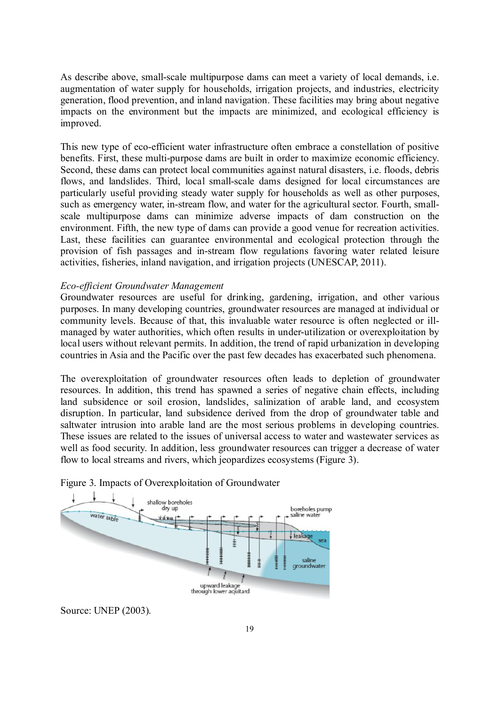As describe above, small-scale multipurpose dams can meet a variety of local demands, i.e. augmentation of water supply for households, irrigation projects, and industries, electricity generation, flood prevention, and inland navigation. These facilities may bring about negative impacts on the environment but the impacts are minimized, and ecological efficiency is improved.

This new type of eco-efficient water infrastructure often embrace a constellation of positive benefits. First, these multi-purpose dams are built in order to maximize economic efficiency. Second, these dams can protect local communities against natural disasters, i.e. floods, debris flows, and landslides. Third, local small-scale dams designed for local circumstances are particularly useful providing steady water supply for households as well as other purposes, such as emergency water, in-stream flow, and water for the agricultural sector. Fourth, smallscale multipurpose dams can minimize adverse impacts of dam construction on the environment. Fifth, the new type of dams can provide a good venue for recreation activities. Last, these facilities can guarantee environmental and ecological protection through the provision of fish passages and in-stream flow regulations favoring water related leisure activities, fisheries, inland navigation, and irrigation projects (UNESCAP, 2011).

#### *Eco-efficient Groundwater Management*

Groundwater resources are useful for drinking, gardening, irrigation, and other various purposes. In many developing countries, groundwater resources are managed at individual or community levels. Because of that, this invaluable water resource is often neglected or illmanaged by water authorities, which often results in under-utilization or overexploitation by local users without relevant permits. In addition, the trend of rapid urbanization in developing countries in Asia and the Pacific over the past few decades has exacerbated such phenomena.

The overexploitation of groundwater resources often leads to depletion of groundwater resources. In addition, this trend has spawned a series of negative chain effects, including land subsidence or soil erosion, landslides, salinization of arable land, and ecosystem disruption. In particular, land subsidence derived from the drop of groundwater table and saltwater intrusion into arable land are the most serious problems in developing countries. These issues are related to the issues of universal access to water and wastewater services as well as food security. In addition, less groundwater resources can trigger a decrease of water flow to local streams and rivers, which jeopardizes ecosystems (Figure 3).



#### Figure 3. Impacts of Overexploitation of Groundwater

Source: UNEP (2003).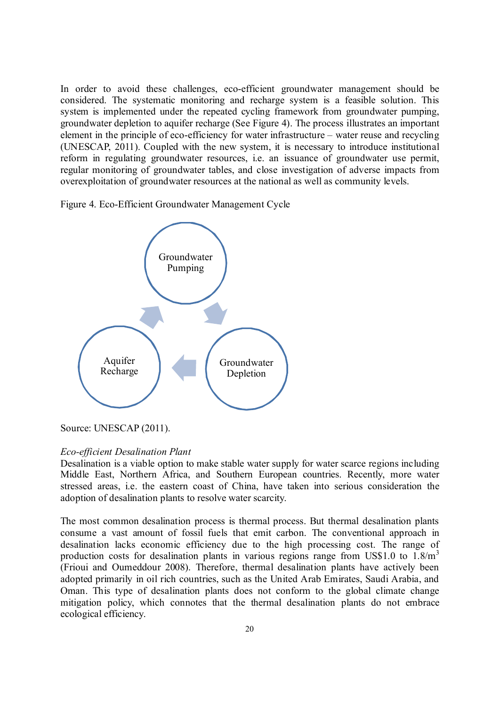In order to avoid these challenges, eco-efficient groundwater management should be considered. The systematic monitoring and recharge system is a feasible solution. This system is implemented under the repeated cycling framework from groundwater pumping, groundwater depletion to aquifer recharge (See Figure 4). The process illustrates an important element in the principle of eco-efficiency for water infrastructure – water reuse and recycling (UNESCAP, 2011). Coupled with the new system, it is necessary to introduce institutional reform in regulating groundwater resources, i.e. an issuance of groundwater use permit, regular monitoring of groundwater tables, and close investigation of adverse impacts from overexploitation of groundwater resources at the national as well as community levels.

Figure 4. Eco-Efficient Groundwater Management Cycle



Source: UNESCAP (2011).

#### *Eco-efficient Desalination Plant*

Desalination is a viable option to make stable water supply for water scarce regions including Middle East, Northern Africa, and Southern European countries. Recently, more water stressed areas, i.e. the eastern coast of China, have taken into serious consideration the adoption of desalination plants to resolve water scarcity.

The most common desalination process is thermal process. But thermal desalination plants consume a vast amount of fossil fuels that emit carbon. The conventional approach in desalination lacks economic efficiency due to the high processing cost. The range of production costs for desalination plants in various regions range from US\$1.0 to  $1.8/m<sup>3</sup>$ (Frioui and Oumeddour 2008). Therefore, thermal desalination plants have actively been adopted primarily in oil rich countries, such as the United Arab Emirates, Saudi Arabia, and Oman. This type of desalination plants does not conform to the global climate change mitigation policy, which connotes that the thermal desalination plants do not embrace ecological efficiency.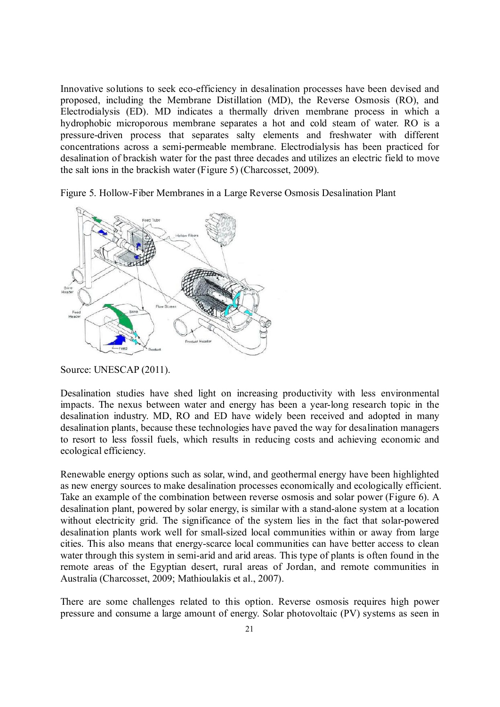Innovative solutions to seek eco-efficiency in desalination processes have been devised and proposed, including the Membrane Distillation (MD), the Reverse Osmosis (RO), and Electrodialysis (ED). MD indicates a thermally driven membrane process in which a hydrophobic microporous membrane separates a hot and cold steam of water. RO is a pressure-driven process that separates salty elements and freshwater with different concentrations across a semi-permeable membrane. Electrodialysis has been practiced for desalination of brackish water for the past three decades and utilizes an electric field to move the salt ions in the brackish water (Figure 5) (Charcosset, 2009).

Figure 5. Hollow-Fiber Membranes in a Large Reverse Osmosis Desalination Plant



Source: UNESCAP (2011).

Desalination studies have shed light on increasing productivity with less environmental impacts. The nexus between water and energy has been a year-long research topic in the desalination industry. MD, RO and ED have widely been received and adopted in many desalination plants, because these technologies have paved the way for desalination managers to resort to less fossil fuels, which results in reducing costs and achieving economic and ecological efficiency.

Renewable energy options such as solar, wind, and geothermal energy have been highlighted as new energy sources to make desalination processes economically and ecologically efficient. Take an example of the combination between reverse osmosis and solar power (Figure 6). A desalination plant, powered by solar energy, is similar with a stand-alone system at a location without electricity grid. The significance of the system lies in the fact that solar-powered desalination plants work well for small-sized local communities within or away from large cities. This also means that energy-scarce local communities can have better access to clean water through this system in semi-arid and arid areas. This type of plants is often found in the remote areas of the Egyptian desert, rural areas of Jordan, and remote communities in Australia (Charcosset, 2009; Mathioulakis et al., 2007).

There are some challenges related to this option. Reverse osmosis requires high power pressure and consume a large amount of energy. Solar photovoltaic (PV) systems as seen in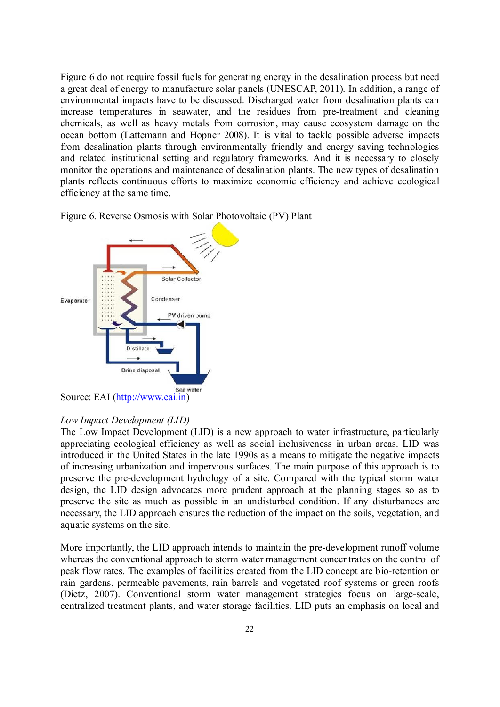Figure 6 do not require fossil fuels for generating energy in the desalination process but need a great deal of energy to manufacture solar panels (UNESCAP, 2011). In addition, a range of environmental impacts have to be discussed. Discharged water from desalination plants can increase temperatures in seawater, and the residues from pre-treatment and cleaning chemicals, as well as heavy metals from corrosion, may cause ecosystem damage on the ocean bottom (Lattemann and Hopner 2008). It is vital to tackle possible adverse impacts from desalination plants through environmentally friendly and energy saving technologies and related institutional setting and regulatory frameworks. And it is necessary to closely monitor the operations and maintenance of desalination plants. The new types of desalination plants reflects continuous efforts to maximize economic efficiency and achieve ecological efficiency at the same time.

Figure 6. Reverse Osmosis with Solar Photovoltaic (PV) Plant



#### *Low Impact Development (LID)*

The Low Impact Development (LID) is a new approach to water infrastructure, particularly appreciating ecological efficiency as well as social inclusiveness in urban areas. LID was introduced in the United States in the late 1990s as a means to mitigate the negative impacts of increasing urbanization and impervious surfaces. The main purpose of this approach is to preserve the pre-development hydrology of a site. Compared with the typical storm water design, the LID design advocates more prudent approach at the planning stages so as to preserve the site as much as possible in an undisturbed condition. If any disturbances are necessary, the LID approach ensures the reduction of the impact on the soils, vegetation, and aquatic systems on the site.

More importantly, the LID approach intends to maintain the pre-development runoff volume whereas the conventional approach to storm water management concentrates on the control of peak flow rates. The examples of facilities created from the LID concept are bio-retention or rain gardens, permeable pavements, rain barrels and vegetated roof systems or green roofs (Dietz, 2007). Conventional storm water management strategies focus on large-scale, centralized treatment plants, and water storage facilities. LID puts an emphasis on local and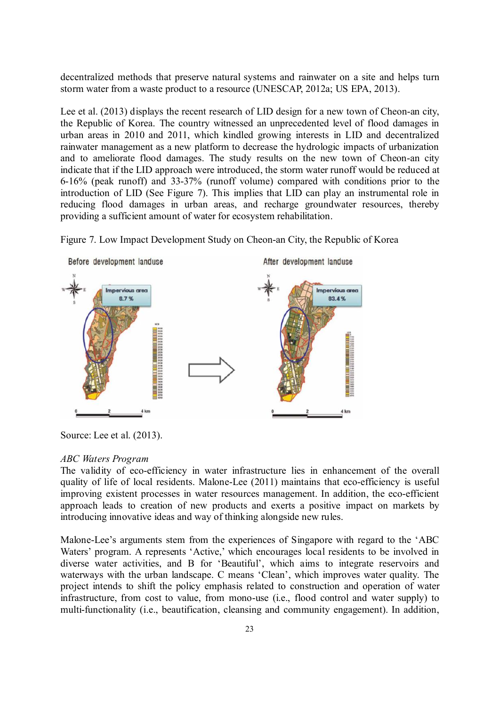decentralized methods that preserve natural systems and rainwater on a site and helps turn storm water from a waste product to a resource (UNESCAP, 2012a; US EPA, 2013).

Lee et al. (2013) displays the recent research of LID design for a new town of Cheon-an city, the Republic of Korea. The country witnessed an unprecedented level of flood damages in urban areas in 2010 and 2011, which kindled growing interests in LID and decentralized rainwater management as a new platform to decrease the hydrologic impacts of urbanization and to ameliorate flood damages. The study results on the new town of Cheon-an city indicate that if the LID approach were introduced, the storm water runoff would be reduced at 6-16% (peak runoff) and 33-37% (runoff volume) compared with conditions prior to the introduction of LID (See Figure 7). This implies that LID can play an instrumental role in reducing flood damages in urban areas, and recharge groundwater resources, thereby providing a sufficient amount of water for ecosystem rehabilitation.

Figure 7. Low Impact Development Study on Cheon-an City, the Republic of Korea



Source: Lee et al. (2013).

#### *ABC Waters Program*

The validity of eco-efficiency in water infrastructure lies in enhancement of the overall quality of life of local residents. Malone-Lee (2011) maintains that eco-efficiency is useful improving existent processes in water resources management. In addition, the eco-efficient approach leads to creation of new products and exerts a positive impact on markets by introducing innovative ideas and way of thinking alongside new rules.

Malone-Lee's arguments stem from the experiences of Singapore with regard to the 'ABC Waters' program. A represents 'Active,' which encourages local residents to be involved in diverse water activities, and B for 'Beautiful', which aims to integrate reservoirs and waterways with the urban landscape. C means 'Clean', which improves water quality. The project intends to shift the policy emphasis related to construction and operation of water infrastructure, from cost to value, from mono-use (i.e., flood control and water supply) to multi-functionality (i.e., beautification, cleansing and community engagement). In addition,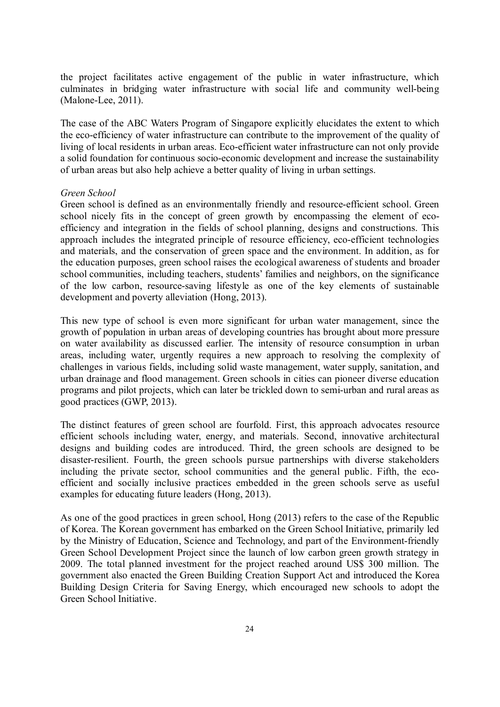the project facilitates active engagement of the public in water infrastructure, which culminates in bridging water infrastructure with social life and community well-being (Malone-Lee, 2011).

The case of the ABC Waters Program of Singapore explicitly elucidates the extent to which the eco-efficiency of water infrastructure can contribute to the improvement of the quality of living of local residents in urban areas. Eco-efficient water infrastructure can not only provide a solid foundation for continuous socio-economic development and increase the sustainability of urban areas but also help achieve a better quality of living in urban settings.

#### *Green School*

Green school is defined as an environmentally friendly and resource-efficient school. Green school nicely fits in the concept of green growth by encompassing the element of ecoefficiency and integration in the fields of school planning, designs and constructions. This approach includes the integrated principle of resource efficiency, eco-efficient technologies and materials, and the conservation of green space and the environment. In addition, as for the education purposes, green school raises the ecological awareness of students and broader school communities, including teachers, students' families and neighbors, on the significance of the low carbon, resource-saving lifestyle as one of the key elements of sustainable development and poverty alleviation (Hong, 2013).

This new type of school is even more significant for urban water management, since the growth of population in urban areas of developing countries has brought about more pressure on water availability as discussed earlier. The intensity of resource consumption in urban areas, including water, urgently requires a new approach to resolving the complexity of challenges in various fields, including solid waste management, water supply, sanitation, and urban drainage and flood management. Green schools in cities can pioneer diverse education programs and pilot projects, which can later be trickled down to semi-urban and rural areas as good practices (GWP, 2013).

The distinct features of green school are fourfold. First, this approach advocates resource efficient schools including water, energy, and materials. Second, innovative architectural designs and building codes are introduced. Third, the green schools are designed to be disaster-resilient. Fourth, the green schools pursue partnerships with diverse stakeholders including the private sector, school communities and the general public. Fifth, the ecoefficient and socially inclusive practices embedded in the green schools serve as useful examples for educating future leaders (Hong, 2013).

As one of the good practices in green school, Hong (2013) refers to the case of the Republic of Korea. The Korean government has embarked on the Green School Initiative, primarily led by the Ministry of Education, Science and Technology, and part of the Environment-friendly Green School Development Project since the launch of low carbon green growth strategy in 2009. The total planned investment for the project reached around US\$ 300 million. The government also enacted the Green Building Creation Support Act and introduced the Korea Building Design Criteria for Saving Energy, which encouraged new schools to adopt the Green School Initiative.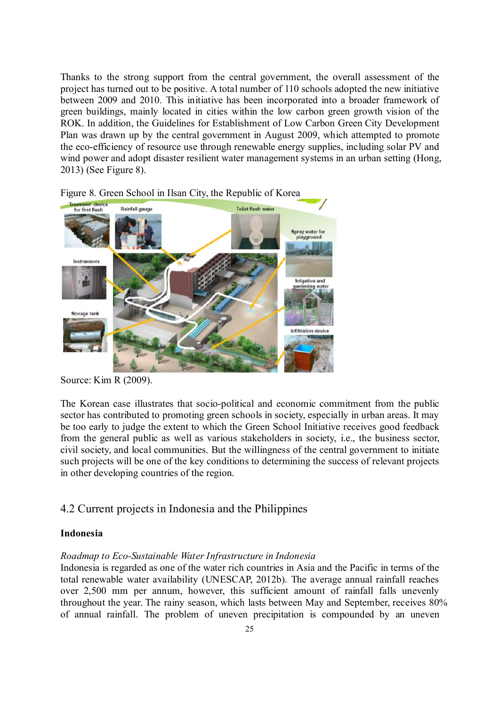Thanks to the strong support from the central government, the overall assessment of the project has turned out to be positive. A total number of 110 schools adopted the new initiative between 2009 and 2010. This initiative has been incorporated into a broader framework of green buildings, mainly located in cities within the low carbon green growth vision of the ROK. In addition, the Guidelines for Establishment of Low Carbon Green City Development Plan was drawn up by the central government in August 2009, which attempted to promote the eco-efficiency of resource use through renewable energy supplies, including solar PV and wind power and adopt disaster resilient water management systems in an urban setting (Hong, 2013) (See Figure 8).



Figure 8. Green School in Ilsan City, the Republic of Korea

The Korean case illustrates that socio-political and economic commitment from the public sector has contributed to promoting green schools in society, especially in urban areas. It may be too early to judge the extent to which the Green School Initiative receives good feedback from the general public as well as various stakeholders in society, i.e., the business sector, civil society, and local communities. But the willingness of the central government to initiate such projects will be one of the key conditions to determining the success of relevant projects in other developing countries of the region.

#### 4.2 Current projects in Indonesia and the Philippines

#### Indonesia

#### *Roadmap to Eco-Sustainable Water Infrastructure in Indonesia*

Indonesia is regarded as one of the water rich countries in Asia and the Pacific in terms of the total renewable water availability (UNESCAP, 2012b). The average annual rainfall reaches over 2,500 mm per annum, however, this sufficient amount of rainfall falls unevenly throughout the year. The rainy season, which lasts between May and September, receives 80% of annual rainfall. The problem of uneven precipitation is compounded by an uneven

Source: Kim R (2009).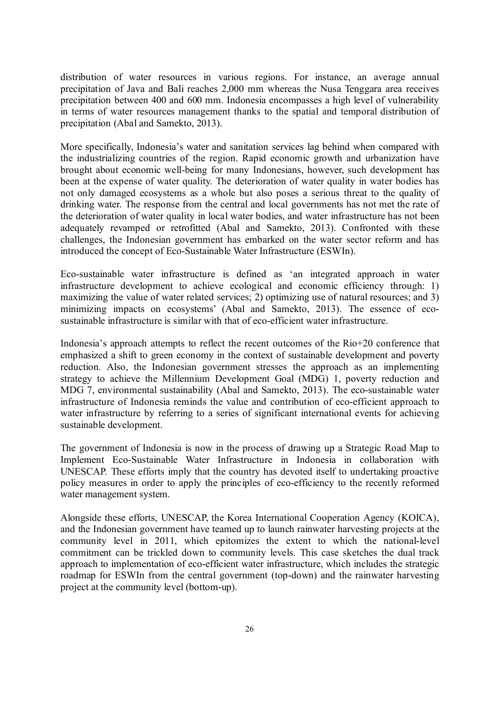distribution of water resources in various regions. For instance, an average annual precipitation of Java and Bali reaches 2,000 mm whereas the Nusa Tenggara area receives precipitation between 400 and 600 mm. Indonesia encompasses a high level of vulnerability in terms of water resources management thanks to the spatial and temporal distribution of precipitation (Abal and Samekto, 2013).

More specifically, Indonesia's water and sanitation services lag behind when compared with the industrializing countries of the region. Rapid economic growth and urbanization have brought about economic well-being for many Indonesians, however, such development has been at the expense of water quality. The deterioration of water quality in water bodies has not only damaged ecosystems as a whole but also poses a serious threat to the quality of drinking water. The response from the central and local governments has not met the rate of the deterioration of water quality in local water bodies, and water infrastructure has not been adequately revamped or retrofitted (Abal and Samekto, 2013). Confronted with these challenges, the Indonesian government has embarked on the water sector reform and has introduced the concept of Eco-Sustainable Water Infrastructure (ESWIn).

Eco-sustainable water infrastructure is defined as 'an integrated approach in water infrastructure development to achieve ecological and economic efficiency through: 1) maximizing the value of water related services; 2) optimizing use of natural resources; and 3) minimizing impacts on ecosystems' (Abal and Samekto, 2013). The essence of ecosustainable infrastructure is similar with that of eco-efficient water infrastructure.

Indonesia's approach attempts to reflect the recent outcomes of the Rio+20 conference that emphasized a shift to green economy in the context of sustainable development and poverty reduction. Also, the Indonesian government stresses the approach as an implementing strategy to achieve the Millennium Development Goal (MDG) 1, poverty reduction and MDG 7, environmental sustainability (Abal and Samekto, 2013). The eco-sustainable water infrastructure of Indonesia reminds the value and contribution of eco-efficient approach to water infrastructure by referring to a series of significant international events for achieving sustainable development.

The government of Indonesia is now in the process of drawing up a Strategic Road Map to Implement Eco-Sustainable Water Infrastructure in Indonesia in collaboration with UNESCAP. These efforts imply that the country has devoted itself to undertaking proactive policy measures in order to apply the principles of eco-efficiency to the recently reformed water management system.

Alongside these efforts, UNESCAP, the Korea International Cooperation Agency (KOICA), and the Indonesian government have teamed up to launch rainwater harvesting projects at the community level in 2011, which epitomizes the extent to which the national-level commitment can be trickled down to community levels. This case sketches the dual track approach to implementation of eco-efficient water infrastructure, which includes the strategic roadmap for ESWIn from the central government (top-down) and the rainwater harvesting project at the community level (bottom-up).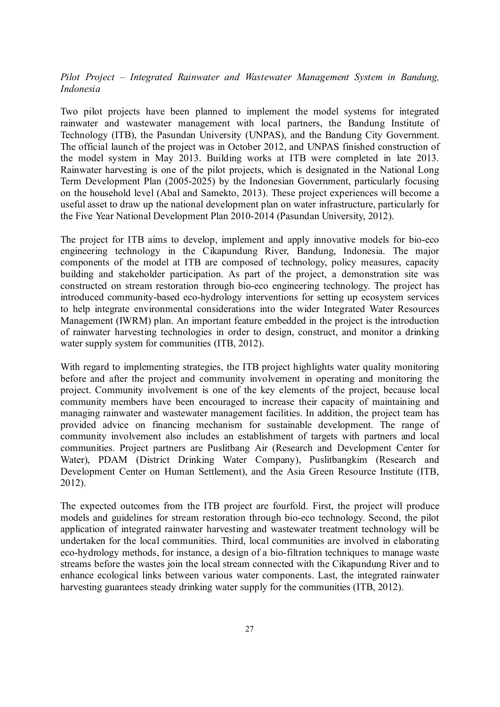#### *Pilot Project – Integrated Rainwater and Wastewater Management System in Bandung, Indonesia*

Two pilot projects have been planned to implement the model systems for integrated rainwater and wastewater management with local partners, the Bandung Institute of Technology (ITB), the Pasundan University (UNPAS), and the Bandung City Government. The official launch of the project was in October 2012, and UNPAS finished construction of the model system in May 2013. Building works at ITB were completed in late 2013. Rainwater harvesting is one of the pilot projects, which is designated in the National Long Term Development Plan (2005-2025) by the Indonesian Government, particularly focusing on the household level (Abal and Samekto, 2013). These project experiences will become a useful asset to draw up the national development plan on water infrastructure, particularly for the Five Year National Development Plan 2010-2014 (Pasundan University, 2012).

The project for ITB aims to develop, implement and apply innovative models for bio-eco engineering technology in the Cikapundung River, Bandung, Indonesia. The major components of the model at ITB are composed of technology, policy measures, capacity building and stakeholder participation. As part of the project, a demonstration site was constructed on stream restoration through bio-eco engineering technology. The project has introduced community-based eco-hydrology interventions for setting up ecosystem services to help integrate environmental considerations into the wider Integrated Water Resources Management (IWRM) plan. An important feature embedded in the project is the introduction of rainwater harvesting technologies in order to design, construct, and monitor a drinking water supply system for communities (ITB, 2012).

With regard to implementing strategies, the ITB project highlights water quality monitoring before and after the project and community involvement in operating and monitoring the project. Community involvement is one of the key elements of the project, because local community members have been encouraged to increase their capacity of maintaining and managing rainwater and wastewater management facilities. In addition, the project team has provided advice on financing mechanism for sustainable development. The range of community involvement also includes an establishment of targets with partners and local communities. Project partners are Puslitbang Air (Research and Development Center for Water), PDAM (District Drinking Water Company), Puslitbangkim (Research and Development Center on Human Settlement), and the Asia Green Resource Institute (ITB, 2012).

The expected outcomes from the ITB project are fourfold. First, the project will produce models and guidelines for stream restoration through bio-eco technology. Second, the pilot application of integrated rainwater harvesting and wastewater treatment technology will be undertaken for the local communities. Third, local communities are involved in elaborating eco-hydrology methods, for instance, a design of a bio-filtration techniques to manage waste streams before the wastes join the local stream connected with the Cikapundung River and to enhance ecological links between various water components. Last, the integrated rainwater harvesting guarantees steady drinking water supply for the communities (ITB, 2012).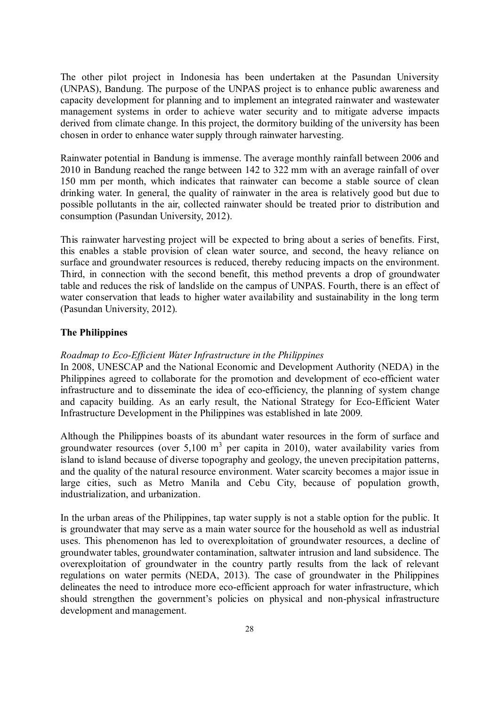The other pilot project in Indonesia has been undertaken at the Pasundan University (UNPAS), Bandung. The purpose of the UNPAS project is to enhance public awareness and capacity development for planning and to implement an integrated rainwater and wastewater management systems in order to achieve water security and to mitigate adverse impacts derived from climate change. In this project, the dormitory building of the university has been chosen in order to enhance water supply through rainwater harvesting.

Rainwater potential in Bandung is immense. The average monthly rainfall between 2006 and 2010 in Bandung reached the range between 142 to 322 mm with an average rainfall of over 150 mm per month, which indicates that rainwater can become a stable source of clean drinking water. In general, the quality of rainwater in the area is relatively good but due to possible pollutants in the air, collected rainwater should be treated prior to distribution and consumption (Pasundan University, 2012).

This rainwater harvesting project will be expected to bring about a series of benefits. First, this enables a stable provision of clean water source, and second, the heavy reliance on surface and groundwater resources is reduced, thereby reducing impacts on the environment. Third, in connection with the second benefit, this method prevents a drop of groundwater table and reduces the risk of landslide on the campus of UNPAS. Fourth, there is an effect of water conservation that leads to higher water availability and sustainability in the long term (Pasundan University, 2012).

#### The Philippines

#### *Roadmap to Eco-Efficient Water Infrastructure in the Philippines*

In 2008, UNESCAP and the National Economic and Development Authority (NEDA) in the Philippines agreed to collaborate for the promotion and development of eco-efficient water infrastructure and to disseminate the idea of eco-efficiency, the planning of system change and capacity building. As an early result, the National Strategy for Eco-Efficient Water Infrastructure Development in the Philippines was established in late 2009.

Although the Philippines boasts of its abundant water resources in the form of surface and groundwater resources (over  $5,100 \text{ m}^3$  per capita in 2010), water availability varies from island to island because of diverse topography and geology, the uneven precipitation patterns, and the quality of the natural resource environment. Water scarcity becomes a major issue in large cities, such as Metro Manila and Cebu City, because of population growth, industrialization, and urbanization.

In the urban areas of the Philippines, tap water supply is not a stable option for the public. It is groundwater that may serve as a main water source for the household as well as industrial uses. This phenomenon has led to overexploitation of groundwater resources, a decline of groundwater tables, groundwater contamination, saltwater intrusion and land subsidence. The overexploitation of groundwater in the country partly results from the lack of relevant regulations on water permits (NEDA, 2013). The case of groundwater in the Philippines delineates the need to introduce more eco-efficient approach for water infrastructure, which should strengthen the government's policies on physical and non-physical infrastructure development and management.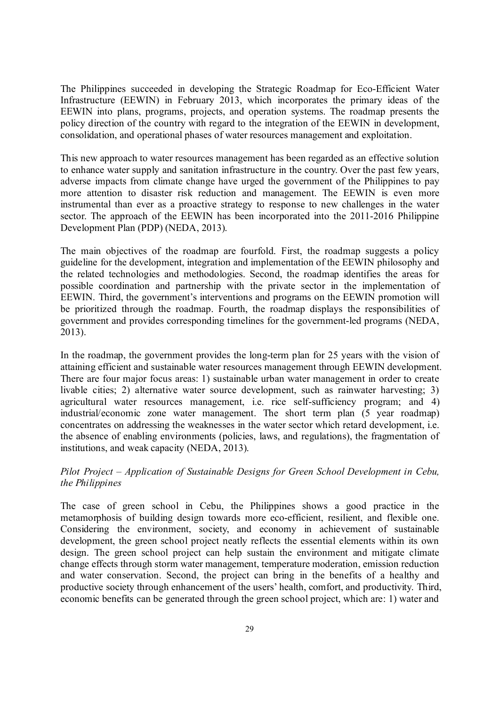The Philippines succeeded in developing the Strategic Roadmap for Eco-Efficient Water Infrastructure (EEWIN) in February 2013, which incorporates the primary ideas of the EEWIN into plans, programs, projects, and operation systems. The roadmap presents the policy direction of the country with regard to the integration of the EEWIN in development, consolidation, and operational phases of water resources management and exploitation.

This new approach to water resources management has been regarded as an effective solution to enhance water supply and sanitation infrastructure in the country. Over the past few years, adverse impacts from climate change have urged the government of the Philippines to pay more attention to disaster risk reduction and management. The EEWIN is even more instrumental than ever as a proactive strategy to response to new challenges in the water sector. The approach of the EEWIN has been incorporated into the 2011-2016 Philippine Development Plan (PDP) (NEDA, 2013).

The main objectives of the roadmap are fourfold. First, the roadmap suggests a policy guideline for the development, integration and implementation of the EEWIN philosophy and the related technologies and methodologies. Second, the roadmap identifies the areas for possible coordination and partnership with the private sector in the implementation of EEWIN. Third, the government's interventions and programs on the EEWIN promotion will be prioritized through the roadmap. Fourth, the roadmap displays the responsibilities of government and provides corresponding timelines for the government-led programs (NEDA, 2013).

In the roadmap, the government provides the long-term plan for 25 years with the vision of attaining efficient and sustainable water resources management through EEWIN development. There are four major focus areas: 1) sustainable urban water management in order to create livable cities; 2) alternative water source development, such as rainwater harvesting; 3) agricultural water resources management, i.e. rice self-sufficiency program; and 4) industrial/economic zone water management. The short term plan (5 year roadmap) concentrates on addressing the weaknesses in the water sector which retard development, i.e. the absence of enabling environments (policies, laws, and regulations), the fragmentation of institutions, and weak capacity (NEDA, 2013).

#### *Pilot Project – Application of Sustainable Designs for Green School Development in Cebu, the Philippines*

The case of green school in Cebu, the Philippines shows a good practice in the metamorphosis of building design towards more eco-efficient, resilient, and flexible one. Considering the environment, society, and economy in achievement of sustainable development, the green school project neatly reflects the essential elements within its own design. The green school project can help sustain the environment and mitigate climate change effects through storm water management, temperature moderation, emission reduction and water conservation. Second, the project can bring in the benefits of a healthy and productive society through enhancement of the users' health, comfort, and productivity. Third, economic benefits can be generated through the green school project, which are: 1) water and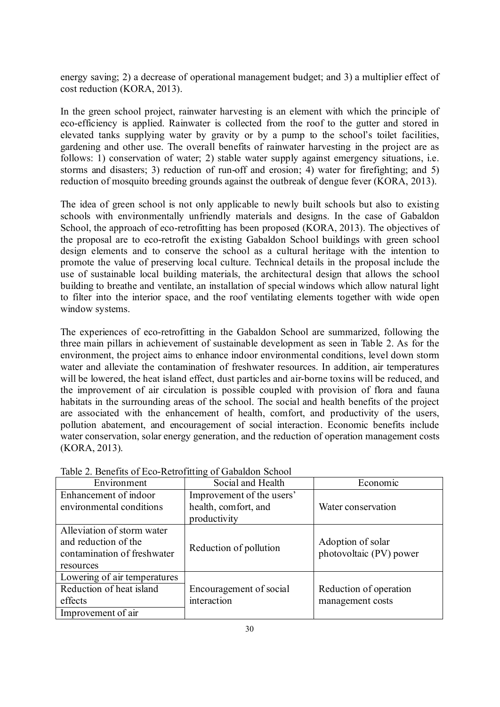energy saving; 2) a decrease of operational management budget; and 3) a multiplier effect of cost reduction (KORA, 2013).

In the green school project, rainwater harvesting is an element with which the principle of eco-efficiency is applied. Rainwater is collected from the roof to the gutter and stored in elevated tanks supplying water by gravity or by a pump to the school's toilet facilities, gardening and other use. The overall benefits of rainwater harvesting in the project are as follows: 1) conservation of water; 2) stable water supply against emergency situations, i.e. storms and disasters; 3) reduction of run-off and erosion; 4) water for firefighting; and 5) reduction of mosquito breeding grounds against the outbreak of dengue fever (KORA, 2013).

The idea of green school is not only applicable to newly built schools but also to existing schools with environmentally unfriendly materials and designs. In the case of Gabaldon School, the approach of eco-retrofitting has been proposed (KORA, 2013). The objectives of the proposal are to eco-retrofit the existing Gabaldon School buildings with green school design elements and to conserve the school as a cultural heritage with the intention to promote the value of preserving local culture. Technical details in the proposal include the use of sustainable local building materials, the architectural design that allows the school building to breathe and ventilate, an installation of special windows which allow natural light to filter into the interior space, and the roof ventilating elements together with wide open window systems.

The experiences of eco-retrofitting in the Gabaldon School are summarized, following the three main pillars in achievement of sustainable development as seen in Table 2. As for the environment, the project aims to enhance indoor environmental conditions, level down storm water and alleviate the contamination of freshwater resources. In addition, air temperatures will be lowered, the heat island effect, dust particles and air-borne toxins will be reduced, and the improvement of air circulation is possible coupled with provision of flora and fauna habitats in the surrounding areas of the school. The social and health benefits of the project are associated with the enhancement of health, comfort, and productivity of the users, pollution abatement, and encouragement of social interaction. Economic benefits include water conservation, solar energy generation, and the reduction of operation management costs (KORA, 2013).

| Environment                  | Social and Health         | Economic                |
|------------------------------|---------------------------|-------------------------|
| Enhancement of indoor        | Improvement of the users' |                         |
| environmental conditions     | health, comfort, and      | Water conservation      |
|                              | productivity              |                         |
| Alleviation of storm water   |                           |                         |
| and reduction of the         | Reduction of pollution    | Adoption of solar       |
| contamination of freshwater  |                           | photovoltaic (PV) power |
| resources                    |                           |                         |
| Lowering of air temperatures |                           |                         |
| Reduction of heat island     | Encouragement of social   | Reduction of operation  |
| effects                      | interaction               | management costs        |
| Improvement of air           |                           |                         |

Table 2. Benefits of Eco-Retrofitting of Gabaldon School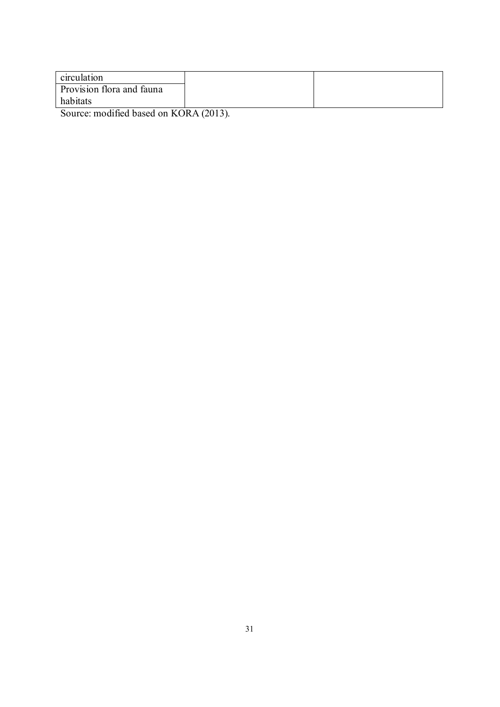| circulation               |  |
|---------------------------|--|
| Provision flora and fauna |  |
| habitats                  |  |

Source: modified based on KORA (2013).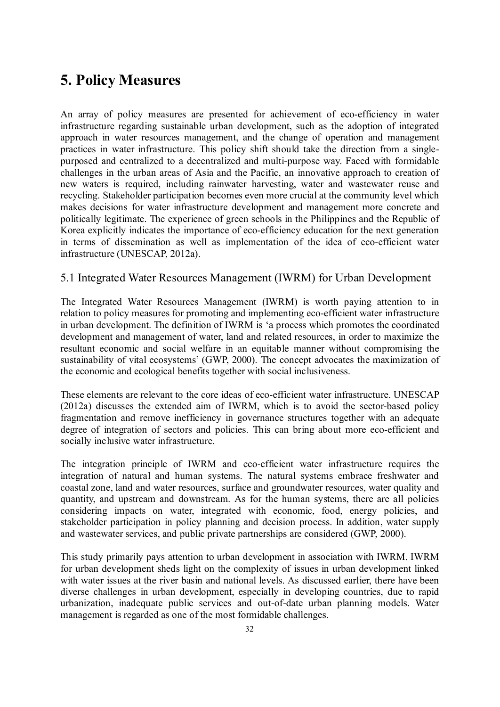## 5. Policy Measures

An array of policy measures are presented for achievement of eco-efficiency in water infrastructure regarding sustainable urban development, such as the adoption of integrated approach in water resources management, and the change of operation and management practices in water infrastructure. This policy shift should take the direction from a singlepurposed and centralized to a decentralized and multi-purpose way. Faced with formidable challenges in the urban areas of Asia and the Pacific, an innovative approach to creation of new waters is required, including rainwater harvesting, water and wastewater reuse and recycling. Stakeholder participation becomes even more crucial at the community level which makes decisions for water infrastructure development and management more concrete and politically legitimate. The experience of green schools in the Philippines and the Republic of Korea explicitly indicates the importance of eco-efficiency education for the next generation in terms of dissemination as well as implementation of the idea of eco-efficient water infrastructure (UNESCAP, 2012a).

#### 5.1 Integrated Water Resources Management (IWRM) for Urban Development

The Integrated Water Resources Management (IWRM) is worth paying attention to in relation to policy measures for promoting and implementing eco-efficient water infrastructure in urban development. The definition of IWRM is 'a process which promotes the coordinated development and management of water, land and related resources, in order to maximize the resultant economic and social welfare in an equitable manner without compromising the sustainability of vital ecosystems' (GWP, 2000). The concept advocates the maximization of the economic and ecological benefits together with social inclusiveness.

These elements are relevant to the core ideas of eco-efficient water infrastructure. UNESCAP (2012a) discusses the extended aim of IWRM, which is to avoid the sector-based policy fragmentation and remove inefficiency in governance structures together with an adequate degree of integration of sectors and policies. This can bring about more eco-efficient and socially inclusive water infrastructure.

The integration principle of IWRM and eco-efficient water infrastructure requires the integration of natural and human systems. The natural systems embrace freshwater and coastal zone, land and water resources, surface and groundwater resources, water quality and quantity, and upstream and downstream. As for the human systems, there are all policies considering impacts on water, integrated with economic, food, energy policies, and stakeholder participation in policy planning and decision process. In addition, water supply and wastewater services, and public private partnerships are considered (GWP, 2000).

This study primarily pays attention to urban development in association with IWRM. IWRM for urban development sheds light on the complexity of issues in urban development linked with water issues at the river basin and national levels. As discussed earlier, there have been diverse challenges in urban development, especially in developing countries, due to rapid urbanization, inadequate public services and out-of-date urban planning models. Water management is regarded as one of the most formidable challenges.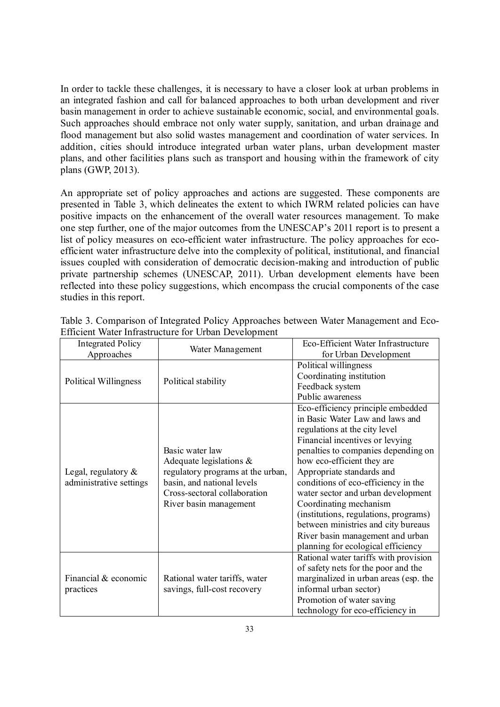In order to tackle these challenges, it is necessary to have a closer look at urban problems in an integrated fashion and call for balanced approaches to both urban development and river basin management in order to achieve sustainable economic, social, and environmental goals. Such approaches should embrace not only water supply, sanitation, and urban drainage and flood management but also solid wastes management and coordination of water services. In addition, cities should introduce integrated urban water plans, urban development master plans, and other facilities plans such as transport and housing within the framework of city plans (GWP, 2013).

An appropriate set of policy approaches and actions are suggested. These components are presented in Table 3, which delineates the extent to which IWRM related policies can have positive impacts on the enhancement of the overall water resources management. To make one step further, one of the major outcomes from the UNESCAP's 2011 report is to present a list of policy measures on eco-efficient water infrastructure. The policy approaches for ecoefficient water infrastructure delve into the complexity of political, institutional, and financial issues coupled with consideration of democratic decision-making and introduction of public private partnership schemes (UNESCAP, 2011). Urban development elements have been reflected into these policy suggestions, which encompass the crucial components of the case studies in this report.

| <b>Integrated Policy</b><br>Approaches            | Water Management                                                                                                                                                           | Eco-Efficient Water Infrastructure<br>for Urban Development                                                                                                                                                                                                                                                                                                                                                                                                                                                 |
|---------------------------------------------------|----------------------------------------------------------------------------------------------------------------------------------------------------------------------------|-------------------------------------------------------------------------------------------------------------------------------------------------------------------------------------------------------------------------------------------------------------------------------------------------------------------------------------------------------------------------------------------------------------------------------------------------------------------------------------------------------------|
| Political Willingness                             | Political stability                                                                                                                                                        | Political willingness<br>Coordinating institution<br>Feedback system<br>Public awareness                                                                                                                                                                                                                                                                                                                                                                                                                    |
| Legal, regulatory $\&$<br>administrative settings | Basic water law<br>Adequate legislations $\&$<br>regulatory programs at the urban,<br>basin, and national levels<br>Cross-sectoral collaboration<br>River basin management | Eco-efficiency principle embedded<br>in Basic Water Law and laws and<br>regulations at the city level<br>Financial incentives or levying<br>penalties to companies depending on<br>how eco-efficient they are<br>Appropriate standards and<br>conditions of eco-efficiency in the<br>water sector and urban development<br>Coordinating mechanism<br>(institutions, regulations, programs)<br>between ministries and city bureaus<br>River basin management and urban<br>planning for ecological efficiency |
| Financial & economic<br>practices                 | Rational water tariffs, water<br>savings, full-cost recovery                                                                                                               | Rational water tariffs with provision<br>of safety nets for the poor and the<br>marginalized in urban areas (esp. the<br>informal urban sector)<br>Promotion of water saving<br>technology for eco-efficiency in                                                                                                                                                                                                                                                                                            |

|  | Table 3. Comparison of Integrated Policy Approaches between Water Management and Eco- |  |  |  |
|--|---------------------------------------------------------------------------------------|--|--|--|
|  | Efficient Water Infrastructure for Urban Development                                  |  |  |  |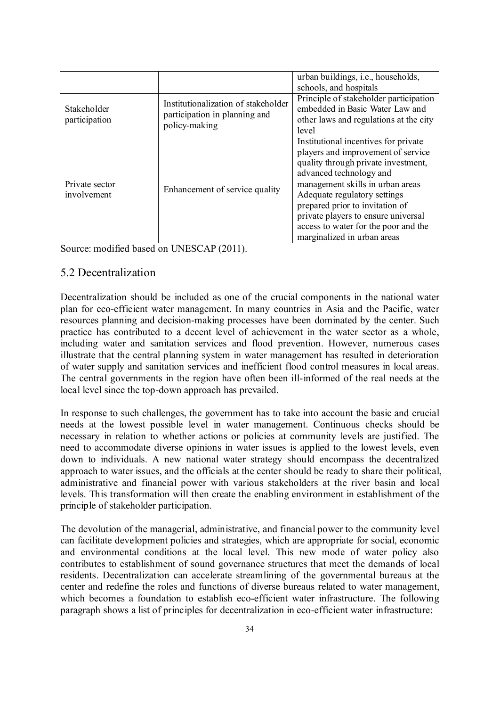|                               |                                                                                       | urban buildings, <i>i.e.</i> , households,                                                                                                                                                                                                                                                                                                                        |
|-------------------------------|---------------------------------------------------------------------------------------|-------------------------------------------------------------------------------------------------------------------------------------------------------------------------------------------------------------------------------------------------------------------------------------------------------------------------------------------------------------------|
|                               |                                                                                       | schools, and hospitals                                                                                                                                                                                                                                                                                                                                            |
| Stakeholder<br>participation  | Institutionalization of stakeholder<br>participation in planning and<br>policy-making | Principle of stakeholder participation<br>embedded in Basic Water Law and<br>other laws and regulations at the city<br>level                                                                                                                                                                                                                                      |
| Private sector<br>involvement | Enhancement of service quality                                                        | Institutional incentives for private<br>players and improvement of service<br>quality through private investment,<br>advanced technology and<br>management skills in urban areas<br>Adequate regulatory settings<br>prepared prior to invitation of<br>private players to ensure universal<br>access to water for the poor and the<br>marginalized in urban areas |

Source: modified based on UNESCAP (2011).

#### 5.2 Decentralization

Decentralization should be included as one of the crucial components in the national water plan for eco-efficient water management. In many countries in Asia and the Pacific, water resources planning and decision-making processes have been dominated by the center. Such practice has contributed to a decent level of achievement in the water sector as a whole, including water and sanitation services and flood prevention. However, numerous cases illustrate that the central planning system in water management has resulted in deterioration of water supply and sanitation services and inefficient flood control measures in local areas. The central governments in the region have often been ill-informed of the real needs at the local level since the top-down approach has prevailed.

In response to such challenges, the government has to take into account the basic and crucial needs at the lowest possible level in water management. Continuous checks should be necessary in relation to whether actions or policies at community levels are justified. The need to accommodate diverse opinions in water issues is applied to the lowest levels, even down to individuals. A new national water strategy should encompass the decentralized approach to water issues, and the officials at the center should be ready to share their political, administrative and financial power with various stakeholders at the river basin and local levels. This transformation will then create the enabling environment in establishment of the principle of stakeholder participation.

The devolution of the managerial, administrative, and financial power to the community level can facilitate development policies and strategies, which are appropriate for social, economic and environmental conditions at the local level. This new mode of water policy also contributes to establishment of sound governance structures that meet the demands of local residents. Decentralization can accelerate streamlining of the governmental bureaus at the center and redefine the roles and functions of diverse bureaus related to water management, which becomes a foundation to establish eco-efficient water infrastructure. The following paragraph shows a list of principles for decentralization in eco-efficient water infrastructure: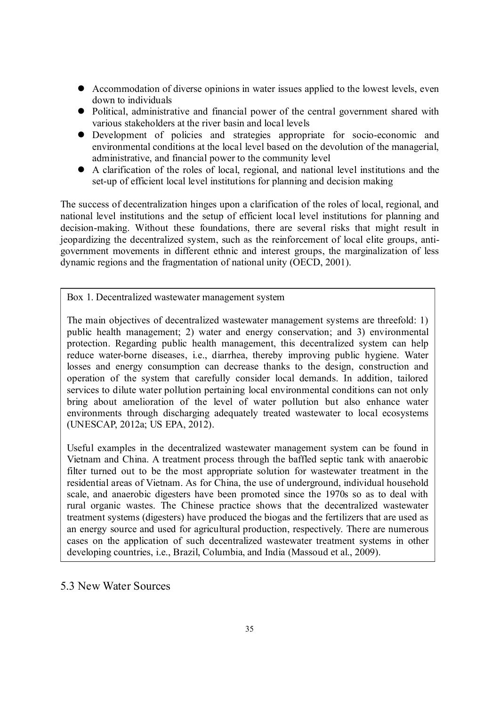- Accommodation of diverse opinions in water issues applied to the lowest levels, even down to individuals
- Political, administrative and financial power of the central government shared with various stakeholders at the river basin and local levels
- Development of policies and strategies appropriate for socio-economic and environmental conditions at the local level based on the devolution of the managerial, administrative, and financial power to the community level
- A clarification of the roles of local, regional, and national level institutions and the set-up of efficient local level institutions for planning and decision making

The success of decentralization hinges upon a clarification of the roles of local, regional, and national level institutions and the setup of efficient local level institutions for planning and decision-making. Without these foundations, there are several risks that might result in jeopardizing the decentralized system, such as the reinforcement of local elite groups, antigovernment movements in different ethnic and interest groups, the marginalization of less dynamic regions and the fragmentation of national unity (OECD, 2001).

Box 1. Decentralized wastewater management system

The main objectives of decentralized wastewater management systems are threefold: 1) public health management; 2) water and energy conservation; and 3) environmental protection. Regarding public health management, this decentralized system can help reduce water-borne diseases, i.e., diarrhea, thereby improving public hygiene. Water losses and energy consumption can decrease thanks to the design, construction and operation of the system that carefully consider local demands. In addition, tailored services to dilute water pollution pertaining local environmental conditions can not only bring about amelioration of the level of water pollution but also enhance water environments through discharging adequately treated wastewater to local ecosystems (UNESCAP, 2012a; US EPA, 2012).

Useful examples in the decentralized wastewater management system can be found in Vietnam and China. A treatment process through the baffled septic tank with anaerobic filter turned out to be the most appropriate solution for wastewater treatment in the residential areas of Vietnam. As for China, the use of underground, individual household scale, and anaerobic digesters have been promoted since the 1970s so as to deal with rural organic wastes. The Chinese practice shows that the decentralized wastewater treatment systems (digesters) have produced the biogas and the fertilizers that are used as an energy source and used for agricultural production, respectively. There are numerous cases on the application of such decentralized wastewater treatment systems in other developing countries, i.e., Brazil, Columbia, and India (Massoud et al., 2009).

5.3 New Water Sources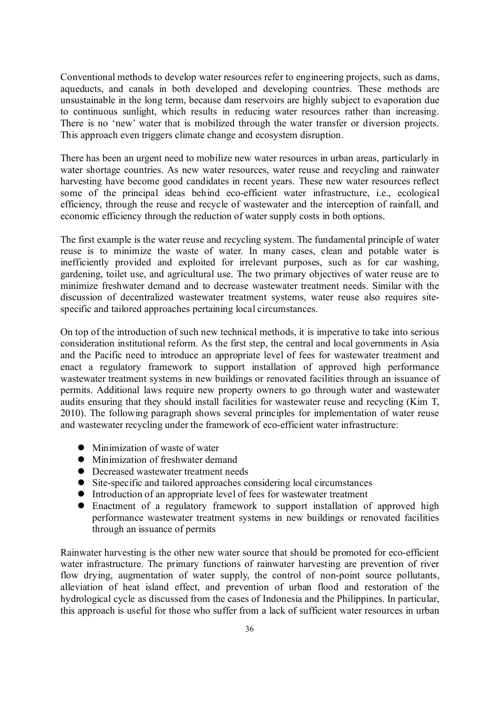Conventional methods to develop water resources refer to engineering projects, such as dams, aqueducts, and canals in both developed and developing countries. These methods are unsustainable in the long term, because dam reservoirs are highly subject to evaporation due to continuous sunlight, which results in reducing water resources rather than increasing. There is no 'new' water that is mobilized through the water transfer or diversion projects. This approach even triggers climate change and ecosystem disruption.

There has been an urgent need to mobilize new water resources in urban areas, particularly in water shortage countries. As new water resources, water reuse and recycling and rainwater harvesting have become good candidates in recent years. These new water resources reflect some of the principal ideas behind eco-efficient water infrastructure, i.e., ecological efficiency, through the reuse and recycle of wastewater and the interception of rainfall, and economic efficiency through the reduction of water supply costs in both options.

The first example is the water reuse and recycling system. The fundamental principle of water reuse is to minimize the waste of water. In many cases, clean and potable water is inefficiently provided and exploited for irrelevant purposes, such as for car washing, gardening, toilet use, and agricultural use. The two primary objectives of water reuse are to minimize freshwater demand and to decrease wastewater treatment needs. Similar with the discussion of decentralized wastewater treatment systems, water reuse also requires sitespecific and tailored approaches pertaining local circumstances.

On top of the introduction of such new technical methods, it is imperative to take into serious consideration institutional reform. As the first step, the central and local governments in Asia and the Pacific need to introduce an appropriate level of fees for wastewater treatment and enact a regulatory framework to support installation of approved high performance wastewater treatment systems in new buildings or renovated facilities through an issuance of permits. Additional laws require new property owners to go through water and wastewater audits ensuring that they should install facilities for wastewater reuse and recycling (Kim T, 2010). The following paragraph shows several principles for implementation of water reuse and wastewater recycling under the framework of eco-efficient water infrastructure:

- Minimization of waste of water
- Minimization of freshwater demand
- Decreased wastewater treatment needs
- Site-specific and tailored approaches considering local circumstances
- Introduction of an appropriate level of fees for wastewater treatment
- Enactment of a regulatory framework to support installation of approved high performance wastewater treatment systems in new buildings or renovated facilities through an issuance of permits

Rainwater harvesting is the other new water source that should be promoted for eco-efficient water infrastructure. The primary functions of rainwater harvesting are prevention of river flow drying, augmentation of water supply, the control of non-point source pollutants, alleviation of heat island effect, and prevention of urban flood and restoration of the hydrological cycle as discussed from the cases of Indonesia and the Philippines. In particular, this approach is useful for those who suffer from a lack of sufficient water resources in urban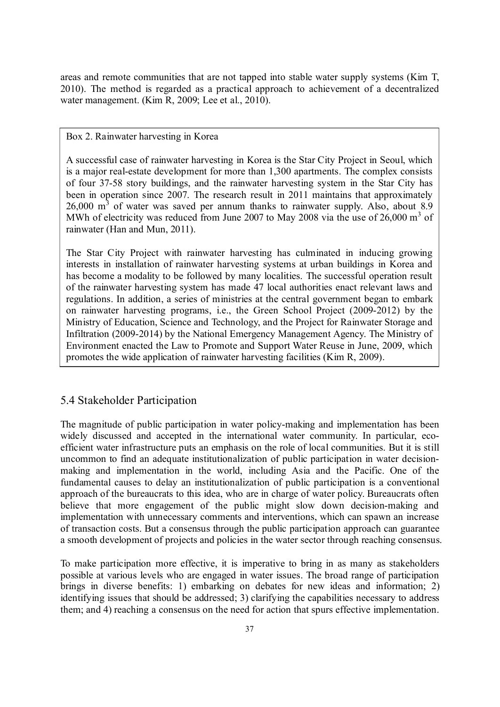areas and remote communities that are not tapped into stable water supply systems (Kim T, 2010). The method is regarded as a practical approach to achievement of a decentralized water management. (Kim R, 2009; Lee et al., 2010).

Box 2. Rainwater harvesting in Korea

A successful case of rainwater harvesting in Korea is the Star City Project in Seoul, which is a major real-estate development for more than 1,300 apartments. The complex consists of four 37-58 story buildings, and the rainwater harvesting system in the Star City has been in operation since 2007. The research result in 2011 maintains that approximately  $26,000 \text{ m}^3$  of water was saved per annum thanks to rainwater supply. Also, about  $8.9$ MWh of electricity was reduced from June 2007 to May 2008 via the use of  $26,000 \text{ m}^3$  of rainwater (Han and Mun, 2011).

The Star City Project with rainwater harvesting has culminated in inducing growing interests in installation of rainwater harvesting systems at urban buildings in Korea and has become a modality to be followed by many localities. The successful operation result of the rainwater harvesting system has made 47 local authorities enact relevant laws and regulations. In addition, a series of ministries at the central government began to embark on rainwater harvesting programs, i.e., the Green School Project (2009-2012) by the Ministry of Education, Science and Technology, and the Project for Rainwater Storage and Infiltration (2009-2014) by the National Emergency Management Agency. The Ministry of Environment enacted the Law to Promote and Support Water Reuse in June, 2009, which promotes the wide application of rainwater harvesting facilities (Kim R, 2009).

#### 5.4 Stakeholder Participation

The magnitude of public participation in water policy-making and implementation has been widely discussed and accepted in the international water community. In particular, ecoefficient water infrastructure puts an emphasis on the role of local communities. But it is still uncommon to find an adequate institutionalization of public participation in water decisionmaking and implementation in the world, including Asia and the Pacific. One of the fundamental causes to delay an institutionalization of public participation is a conventional approach of the bureaucrats to this idea, who are in charge of water policy. Bureaucrats often believe that more engagement of the public might slow down decision-making and implementation with unnecessary comments and interventions, which can spawn an increase of transaction costs. But a consensus through the public participation approach can guarantee a smooth development of projects and policies in the water sector through reaching consensus.

To make participation more effective, it is imperative to bring in as many as stakeholders possible at various levels who are engaged in water issues. The broad range of participation brings in diverse benefits: 1) embarking on debates for new ideas and information; 2) identifying issues that should be addressed; 3) clarifying the capabilities necessary to address them; and 4) reaching a consensus on the need for action that spurs effective implementation.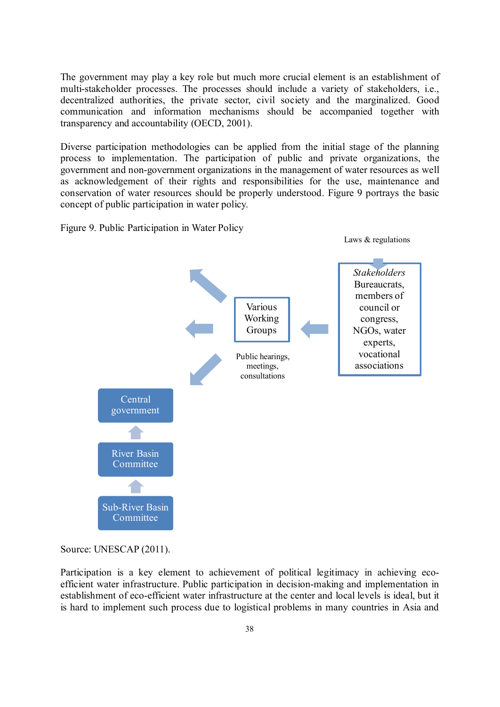The government may play a key role but much more crucial element is an establishment of multi-stakeholder processes. The processes should include a variety of stakeholders, i.e., decentralized authorities, the private sector, civil society and the marginalized. Good communication and information mechanisms should be accompanied together with transparency and accountability (OECD, 2001).

Diverse participation methodologies can be applied from the initial stage of the planning process to implementation. The participation of public and private organizations, the government and non-government organizations in the management of water resources as well as acknowledgement of their rights and responsibilities for the use, maintenance and conservation of water resources should be properly understood. Figure 9 portrays the basic concept of public participation in water policy.

Figure 9. Public Participation in Water Policy



Source: UNESCAP (2011).

Participation is a key element to achievement of political legitimacy in achieving ecoefficient water infrastructure. Public participation in decision-making and implementation in establishment of eco-efficient water infrastructure at the center and local levels is ideal, but it is hard to implement such process due to logistical problems in many countries in Asia and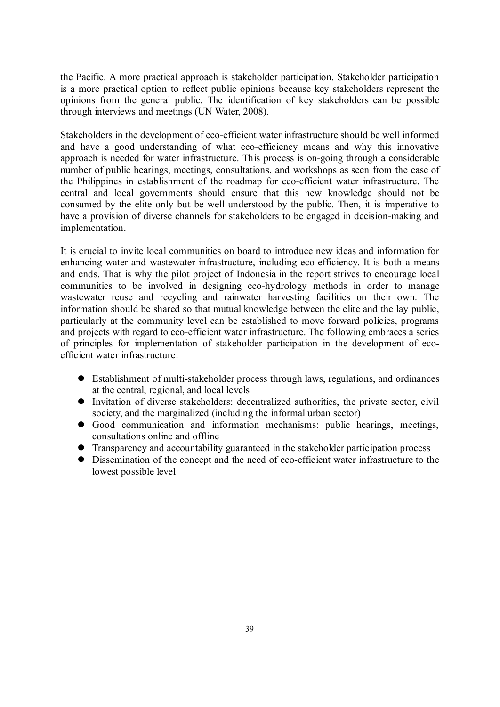the Pacific. A more practical approach is stakeholder participation. Stakeholder participation is a more practical option to reflect public opinions because key stakeholders represent the opinions from the general public. The identification of key stakeholders can be possible through interviews and meetings (UN Water, 2008).

Stakeholders in the development of eco-efficient water infrastructure should be well informed and have a good understanding of what eco-efficiency means and why this innovative approach is needed for water infrastructure. This process is on-going through a considerable number of public hearings, meetings, consultations, and workshops as seen from the case of the Philippines in establishment of the roadmap for eco-efficient water infrastructure. The central and local governments should ensure that this new knowledge should not be consumed by the elite only but be well understood by the public. Then, it is imperative to have a provision of diverse channels for stakeholders to be engaged in decision-making and implementation.

It is crucial to invite local communities on board to introduce new ideas and information for enhancing water and wastewater infrastructure, including eco-efficiency. It is both a means and ends. That is why the pilot project of Indonesia in the report strives to encourage local communities to be involved in designing eco-hydrology methods in order to manage wastewater reuse and recycling and rainwater harvesting facilities on their own. The information should be shared so that mutual knowledge between the elite and the lay public, particularly at the community level can be established to move forward policies, programs and projects with regard to eco-efficient water infrastructure. The following embraces a series of principles for implementation of stakeholder participation in the development of ecoefficient water infrastructure:

- Establishment of multi-stakeholder process through laws, regulations, and ordinances at the central, regional, and local levels
- Invitation of diverse stakeholders: decentralized authorities, the private sector, civil society, and the marginalized (including the informal urban sector)
- Good communication and information mechanisms: public hearings, meetings, consultations online and offline
- Transparency and accountability guaranteed in the stakeholder participation process
- Dissemination of the concept and the need of eco-efficient water infrastructure to the lowest possible level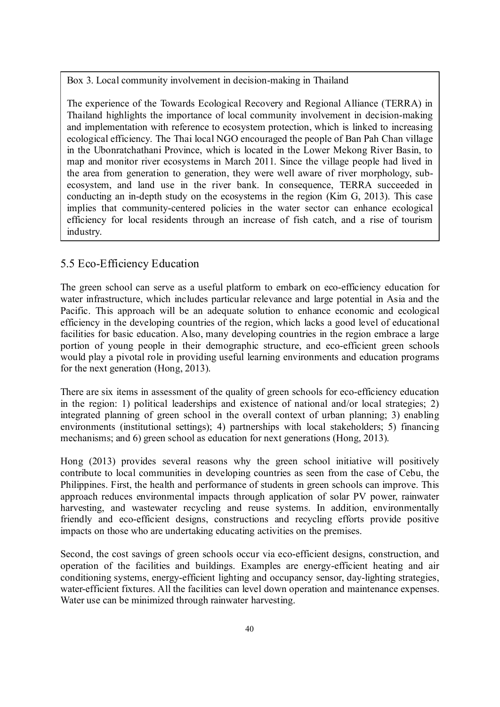Box 3. Local community involvement in decision-making in Thailand

The experience of the Towards Ecological Recovery and Regional Alliance (TERRA) in Thailand highlights the importance of local community involvement in decision-making and implementation with reference to ecosystem protection, which is linked to increasing ecological efficiency. The Thai local NGO encouraged the people of Ban Pah Chan village in the Ubonratchathani Province, which is located in the Lower Mekong River Basin, to map and monitor river ecosystems in March 2011. Since the village people had lived in the area from generation to generation, they were well aware of river morphology, subecosystem, and land use in the river bank. In consequence, TERRA succeeded in conducting an in-depth study on the ecosystems in the region (Kim G, 2013). This case implies that community-centered policies in the water sector can enhance ecological efficiency for local residents through an increase of fish catch, and a rise of tourism industry.

#### 5.5 Eco-Efficiency Education

The green school can serve as a useful platform to embark on eco-efficiency education for water infrastructure, which includes particular relevance and large potential in Asia and the Pacific. This approach will be an adequate solution to enhance economic and ecological efficiency in the developing countries of the region, which lacks a good level of educational facilities for basic education. Also, many developing countries in the region embrace a large portion of young people in their demographic structure, and eco-efficient green schools would play a pivotal role in providing useful learning environments and education programs for the next generation (Hong, 2013).

There are six items in assessment of the quality of green schools for eco-efficiency education in the region: 1) political leaderships and existence of national and/or local strategies; 2) integrated planning of green school in the overall context of urban planning; 3) enabling environments (institutional settings); 4) partnerships with local stakeholders; 5) financing mechanisms; and 6) green school as education for next generations (Hong, 2013).

Hong (2013) provides several reasons why the green school initiative will positively contribute to local communities in developing countries as seen from the case of Cebu, the Philippines. First, the health and performance of students in green schools can improve. This approach reduces environmental impacts through application of solar PV power, rainwater harvesting, and wastewater recycling and reuse systems. In addition, environmentally friendly and eco-efficient designs, constructions and recycling efforts provide positive impacts on those who are undertaking educating activities on the premises.

Second, the cost savings of green schools occur via eco-efficient designs, construction, and operation of the facilities and buildings. Examples are energy-efficient heating and air conditioning systems, energy-efficient lighting and occupancy sensor, day-lighting strategies, water-efficient fixtures. All the facilities can level down operation and maintenance expenses. Water use can be minimized through rainwater harvesting.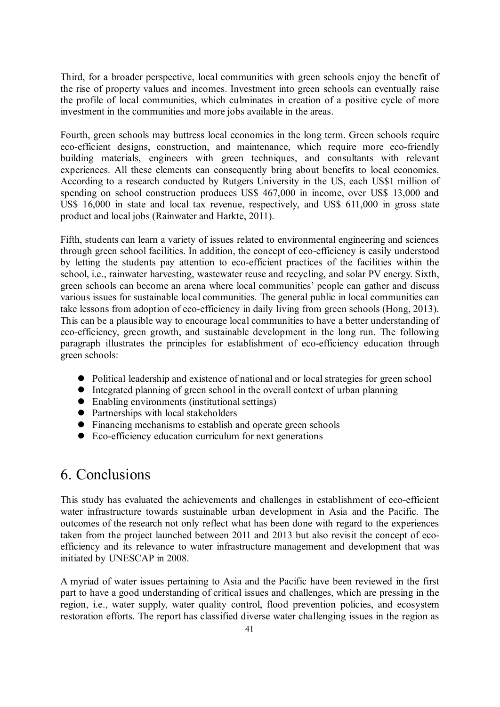Third, for a broader perspective, local communities with green schools enjoy the benefit of the rise of property values and incomes. Investment into green schools can eventually raise the profile of local communities, which culminates in creation of a positive cycle of more investment in the communities and more jobs available in the areas.

Fourth, green schools may buttress local economies in the long term. Green schools require eco-efficient designs, construction, and maintenance, which require more eco-friendly building materials, engineers with green techniques, and consultants with relevant experiences. All these elements can consequently bring about benefits to local economies. According to a research conducted by Rutgers University in the US, each US\$1 million of spending on school construction produces US\$ 467,000 in income, over US\$ 13,000 and US\$ 16,000 in state and local tax revenue, respectively, and US\$ 611,000 in gross state product and local jobs (Rainwater and Harkte, 2011).

Fifth, students can learn a variety of issues related to environmental engineering and sciences through green school facilities. In addition, the concept of eco-efficiency is easily understood by letting the students pay attention to eco-efficient practices of the facilities within the school, i.e., rainwater harvesting, wastewater reuse and recycling, and solar PV energy. Sixth, green schools can become an arena where local communities' people can gather and discuss various issues for sustainable local communities. The general public in local communities can take lessons from adoption of eco-efficiency in daily living from green schools (Hong, 2013). This can be a plausible way to encourage local communities to have a better understanding of eco-efficiency, green growth, and sustainable development in the long run. The following paragraph illustrates the principles for establishment of eco-efficiency education through green schools:

- Political leadership and existence of national and or local strategies for green school
- Integrated planning of green school in the overall context of urban planning
- Enabling environments (institutional settings)
- Partnerships with local stakeholders
- Financing mechanisms to establish and operate green schools
- Eco-efficiency education curriculum for next generations

## 6. Conclusions

This study has evaluated the achievements and challenges in establishment of eco-efficient water infrastructure towards sustainable urban development in Asia and the Pacific. The outcomes of the research not only reflect what has been done with regard to the experiences taken from the project launched between 2011 and 2013 but also revisit the concept of ecoefficiency and its relevance to water infrastructure management and development that was initiated by UNESCAP in 2008.

A myriad of water issues pertaining to Asia and the Pacific have been reviewed in the first part to have a good understanding of critical issues and challenges, which are pressing in the region, i.e., water supply, water quality control, flood prevention policies, and ecosystem restoration efforts. The report has classified diverse water challenging issues in the region as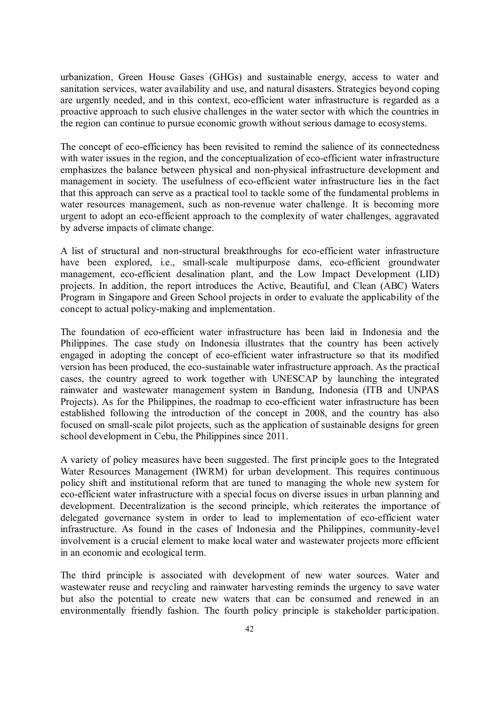urbanization, Green House Gases (GHGs) and sustainable energy, access to water and sanitation services, water availability and use, and natural disasters. Strategies beyond coping are urgently needed, and in this context, eco-efficient water infrastructure is regarded as a proactive approach to such elusive challenges in the water sector with which the countries in the region can continue to pursue economic growth without serious damage to ecosystems.

The concept of eco-efficiency has been revisited to remind the salience of its connectedness with water issues in the region, and the conceptualization of eco-efficient water infrastructure emphasizes the balance between physical and non-physical infrastructure development and management in society. The usefulness of eco-efficient water infrastructure lies in the fact that this approach can serve as a practical tool to tackle some of the fundamental problems in water resources management, such as non-revenue water challenge. It is becoming more urgent to adopt an eco-efficient approach to the complexity of water challenges, aggravated by adverse impacts of climate change.

A list of structural and non-structural breakthroughs for eco-efficient water infrastructure have been explored, i.e., small-scale multipurpose dams, eco-efficient groundwater management, eco-efficient desalination plant, and the Low Impact Development (LID) projects. In addition, the report introduces the Active, Beautiful, and Clean (ABC) Waters Program in Singapore and Green School projects in order to evaluate the applicability of the concept to actual policy-making and implementation.

The foundation of eco-efficient water infrastructure has been laid in Indonesia and the Philippines. The case study on Indonesia illustrates that the country has been actively engaged in adopting the concept of eco-efficient water infrastructure so that its modified version has been produced, the eco-sustainable water infrastructure approach. As the practical cases, the country agreed to work together with UNESCAP by launching the integrated rainwater and wastewater management system in Bandung, Indonesia (ITB and UNPAS Projects). As for the Philippines, the roadmap to eco-efficient water infrastructure has been established following the introduction of the concept in 2008, and the country has also focused on small-scale pilot projects, such as the application of sustainable designs for green school development in Cebu, the Philippines since 2011.

A variety of policy measures have been suggested. The first principle goes to the Integrated Water Resources Management (IWRM) for urban development. This requires continuous policy shift and institutional reform that are tuned to managing the whole new system for eco-efficient water infrastructure with a special focus on diverse issues in urban planning and development. Decentralization is the second principle, which reiterates the importance of delegated governance system in order to lead to implementation of eco-efficient water infrastructure. As found in the cases of Indonesia and the Philippines, community-level involvement is a crucial element to make local water and wastewater projects more efficient in an economic and ecological term.

The third principle is associated with development of new water sources. Water and wastewater reuse and recycling and rainwater harvesting reminds the urgency to save water but also the potential to create new waters that can be consumed and renewed in an environmentally friendly fashion. The fourth policy principle is stakeholder participation.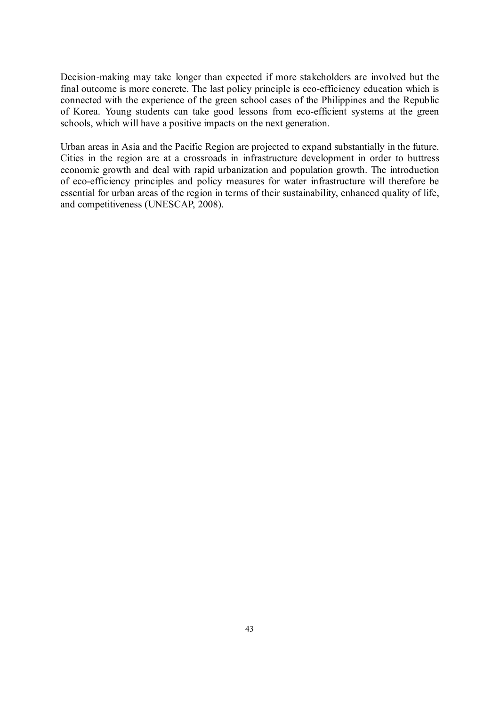Decision-making may take longer than expected if more stakeholders are involved but the final outcome is more concrete. The last policy principle is eco-efficiency education which is connected with the experience of the green school cases of the Philippines and the Republic of Korea. Young students can take good lessons from eco-efficient systems at the green schools, which will have a positive impacts on the next generation.

Urban areas in Asia and the Pacific Region are projected to expand substantially in the future. Cities in the region are at a crossroads in infrastructure development in order to buttress economic growth and deal with rapid urbanization and population growth. The introduction of eco-efficiency principles and policy measures for water infrastructure will therefore be essential for urban areas of the region in terms of their sustainability, enhanced quality of life, and competitiveness (UNESCAP, 2008).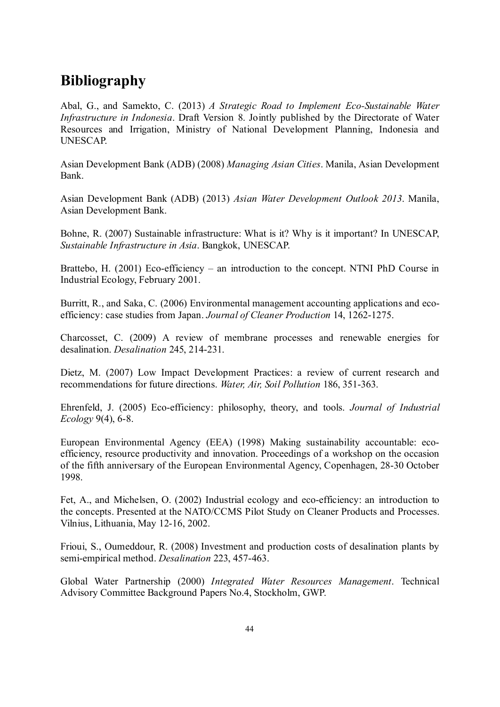## Bibliography

Abal, G., and Samekto, C. (2013) *A Strategic Road to Implement Eco-Sustainable Water Infrastructure in Indonesia*. Draft Version 8. Jointly published by the Directorate of Water Resources and Irrigation, Ministry of National Development Planning, Indonesia and UNESCAP.

Asian Development Bank (ADB) (2008) *Managing Asian Cities*. Manila, Asian Development Bank.

Asian Development Bank (ADB) (2013) *Asian Water Development Outlook 2013*. Manila, Asian Development Bank.

Bohne, R. (2007) Sustainable infrastructure: What is it? Why is it important? In UNESCAP, *Sustainable Infrastructure in Asia*. Bangkok, UNESCAP.

Brattebo, H. (2001) Eco-efficiency – an introduction to the concept. NTNI PhD Course in Industrial Ecology, February 2001.

Burritt, R., and Saka, C. (2006) Environmental management accounting applications and ecoefficiency: case studies from Japan. *Journal of Cleaner Production* 14, 1262-1275.

Charcosset, C. (2009) A review of membrane processes and renewable energies for desalination. *Desalination* 245, 214-231.

Dietz, M. (2007) Low Impact Development Practices: a review of current research and recommendations for future directions. *Water, Air, Soil Pollution* 186, 351-363.

Ehrenfeld, J. (2005) Eco-efficiency: philosophy, theory, and tools. *Journal of Industrial Ecology* 9(4), 6-8.

European Environmental Agency (EEA) (1998) Making sustainability accountable: ecoefficiency, resource productivity and innovation. Proceedings of a workshop on the occasion of the fifth anniversary of the European Environmental Agency, Copenhagen, 28-30 October 1998.

Fet, A., and Michelsen, O. (2002) Industrial ecology and eco-efficiency: an introduction to the concepts. Presented at the NATO/CCMS Pilot Study on Cleaner Products and Processes. Vilnius, Lithuania, May 12-16, 2002.

Frioui, S., Oumeddour, R. (2008) Investment and production costs of desalination plants by semi-empirical method. *Desalination* 223, 457-463.

Global Water Partnership (2000) *Integrated Water Resources Management*. Technical Advisory Committee Background Papers No.4, Stockholm, GWP.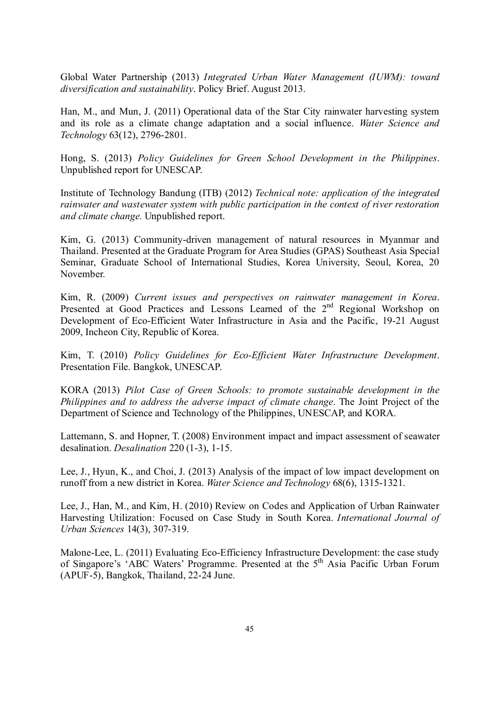Global Water Partnership (2013) *Integrated Urban Water Management (IUWM): toward diversification and sustainability*. Policy Brief. August 2013.

Han, M., and Mun, J. (2011) Operational data of the Star City rainwater harvesting system and its role as a climate change adaptation and a social influence. *Water Science and Technology* 63(12), 2796-2801.

Hong, S. (2013) *Policy Guidelines for Green School Development in the Philippines*. Unpublished report for UNESCAP.

Institute of Technology Bandung (ITB) (2012) *Technical note: application of the integrated rainwater and wastewater system with public participation in the context of river restoration and climate change.* Unpublished report.

Kim, G. (2013) Community-driven management of natural resources in Myanmar and Thailand. Presented at the Graduate Program for Area Studies (GPAS) Southeast Asia Special Seminar, Graduate School of International Studies, Korea University, Seoul, Korea, 20 November.

Kim, R. (2009) *Current issues and perspectives on rainwater management in Korea*. Presented at Good Practices and Lessons Learned of the 2<sup>nd</sup> Regional Workshop on Development of Eco-Efficient Water Infrastructure in Asia and the Pacific, 19-21 August 2009, Incheon City, Republic of Korea.

Kim, T. (2010) *Policy Guidelines for Eco-Efficient Water Infrastructure Development*. Presentation File. Bangkok, UNESCAP.

KORA (2013) *Pilot Case of Green Schools: to promote sustainable development in the Philippines and to address the adverse impact of climate change*. The Joint Project of the Department of Science and Technology of the Philippines, UNESCAP, and KORA.

Lattemann, S. and Hopner, T. (2008) Environment impact and impact assessment of seawater desalination. *Desalination* 220 (1-3), 1-15.

Lee, J., Hyun, K., and Choi, J. (2013) Analysis of the impact of low impact development on runoff from a new district in Korea. *Water Science and Technology* 68(6), 1315-1321.

Lee, J., Han, M., and Kim, H. (2010) Review on Codes and Application of Urban Rainwater Harvesting Utilization: Focused on Case Study in South Korea. *International Journal of Urban Sciences* 14(3), 307-319.

Malone-Lee, L. (2011) Evaluating Eco-Efficiency Infrastructure Development: the case study of Singapore's 'ABC Waters' Programme. Presented at the 5<sup>th</sup> Asia Pacific Urban Forum (APUF-5), Bangkok, Thailand, 22-24 June.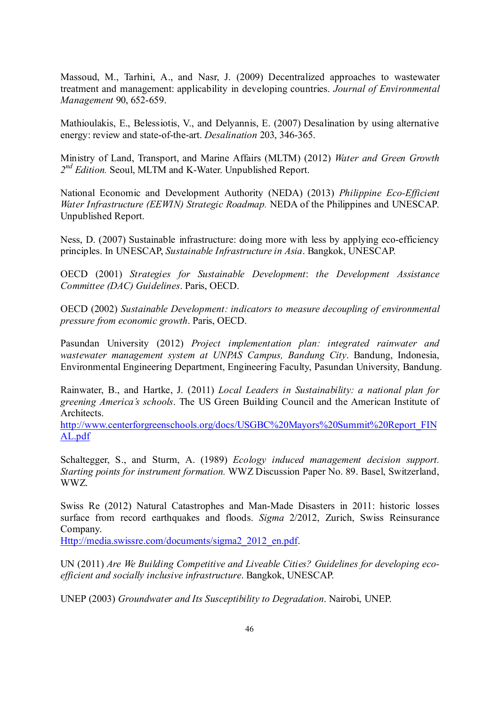Massoud, M., Tarhini, A., and Nasr, J. (2009) Decentralized approaches to wastewater treatment and management: applicability in developing countries. *Journal of Environmental Management* 90, 652-659.

Mathioulakis, E., Belessiotis, V., and Delyannis, E. (2007) Desalination by using alternative energy: review and state-of-the-art. *Desalination* 203, 346-365.

Ministry of Land, Transport, and Marine Affairs (MLTM) (2012) *Water and Green Growth 2nd Edition.* Seoul, MLTM and K-Water. Unpublished Report.

National Economic and Development Authority (NEDA) (2013) *Philippine Eco-Efficient Water Infrastructure (EEWIN) Strategic Roadmap.* NEDA of the Philippines and UNESCAP. Unpublished Report.

Ness, D. (2007) Sustainable infrastructure: doing more with less by applying eco-efficiency principles. In UNESCAP, *Sustainable Infrastructure in Asia*. Bangkok, UNESCAP.

OECD (2001) *Strategies for Sustainable Development*: *the Development Assistance Committee (DAC) Guidelines*. Paris, OECD.

OECD (2002) *Sustainable Development: indicators to measure decoupling of environmental pressure from economic growth*. Paris, OECD.

Pasundan University (2012) *Project implementation plan: integrated rainwater and wastewater management system at UNPAS Campus, Bandung City*. Bandung, Indonesia, Environmental Engineering Department, Engineering Faculty, Pasundan University, Bandung.

Rainwater, B., and Hartke, J. (2011) *Local Leaders in Sustainability: a national plan for greening America's schools*. The US Green Building Council and the American Institute of Architects.

http://www.centerforgreenschools.org/docs/USGBC%20Mayors%20Summit%20Report\_FIN AL.pdf

Schaltegger, S., and Sturm, A. (1989) *Ecology induced management decision support. Starting points for instrument formation.* WWZ Discussion Paper No. 89. Basel, Switzerland, WWZ.

Swiss Re (2012) Natural Catastrophes and Man-Made Disasters in 2011: historic losses surface from record earthquakes and floods. *Sigma* 2/2012, Zurich, Swiss Reinsurance Company.

Http://media.swissre.com/documents/sigma2\_2012\_en.pdf.

UN (2011) *Are We Building Competitive and Liveable Cities? Guidelines for developing ecoefficient and socially inclusive infrastructure*. Bangkok, UNESCAP.

UNEP (2003) *Groundwater and Its Susceptibility to Degradation*. Nairobi, UNEP.